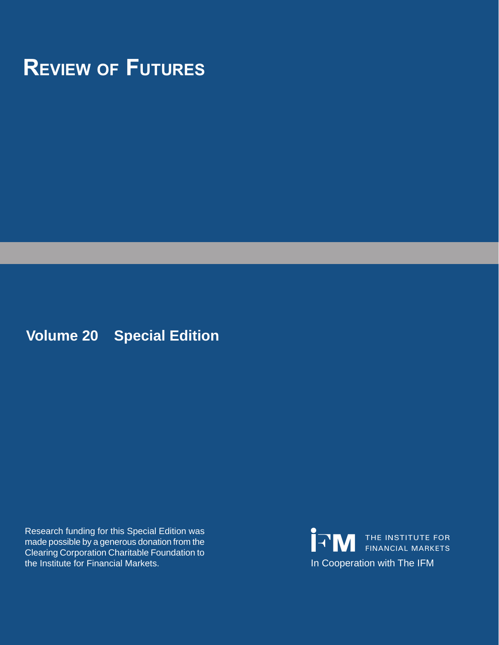# **Review of Futures**

**Volume 20 Special Edition**

Research funding for this Special Edition was made possible by a generous donation from the Clearing Corporation Charitable Foundation to<br>the Institute for Financial Markets.

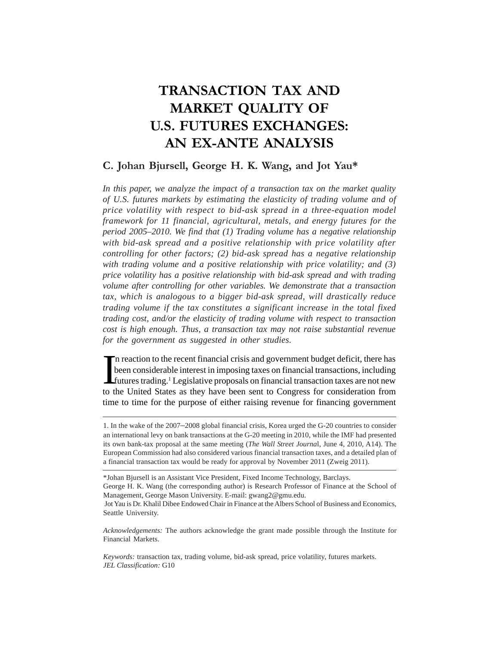# **TRANSACTION TAX AND MARKET QUALITY OF U.S. FUTURES EXCHANGES: AN EX-ANTE ANALYSIS**

# **C. Johan Bjursell, George H. K. Wang, and Jot Yau\***

*In this paper, we analyze the impact of a transaction tax on the market quality of U.S. futures markets by estimating the elasticity of trading volume and of price volatility with respect to bid-ask spread in a three-equation model framework for 11 financial, agricultural, metals, and energy futures for the period 2005–2010. We find that (1) Trading volume has a negative relationship with bid-ask spread and a positive relationship with price volatility after controlling for other factors; (2) bid-ask spread has a negative relationship with trading volume and a positive relationship with price volatility; and (3) price volatility has a positive relationship with bid-ask spread and with trading volume after controlling for other variables. We demonstrate that a transaction tax, which is analogous to a bigger bid-ask spread, will drastically reduce trading volume if the tax constitutes a significant increase in the total fixed trading cost, and/or the elasticity of trading volume with respect to transaction cost is high enough. Thus, a transaction tax may not raise substantial revenue for the government as suggested in other studies.*

In reaction to the recent financial crisis and government budget deficit, there has<br>been considerable interest in imposing taxes on financial transactions, including<br>futures trading.<sup>1</sup> Legislative proposals on financial t n reaction to the recent financial crisis and government budget deficit, there has been considerable interest in imposing taxes on financial transactions, including to the United States as they have been sent to Congress for consideration from time to time for the purpose of either raising revenue for financing government

*Acknowledgements:* The authors acknowledge the grant made possible through the Institute for Financial Markets.

*Keywords:* transaction tax, trading volume, bid-ask spread, price volatility, futures markets. *JEL Classification:* G10

<sup>1.</sup> In the wake of the 2007–2008 global financial crisis, Korea urged the G-20 countries to consider an international levy on bank transactions at the G-20 meeting in 2010, while the IMF had presented its own bank-tax proposal at the same meeting (*The Wall Street Journa*l, June 4, 2010, A14). The European Commission had also considered various financial transaction taxes, and a detailed plan of a financial transaction tax would be ready for approval by November 2011 (Zweig 2011).

<sup>\*</sup>Johan Bjursell is an Assistant Vice President, Fixed Income Technology, Barclays. George H. K. Wang (the corresponding author) is Research Professor of Finance at the School of Management, George Mason University. E-mail: gwang2@gmu.edu.

Jot Yau is Dr. Khalil Dibee Endowed Chair in Finance at the Albers School of Business and Economics, Seattle University.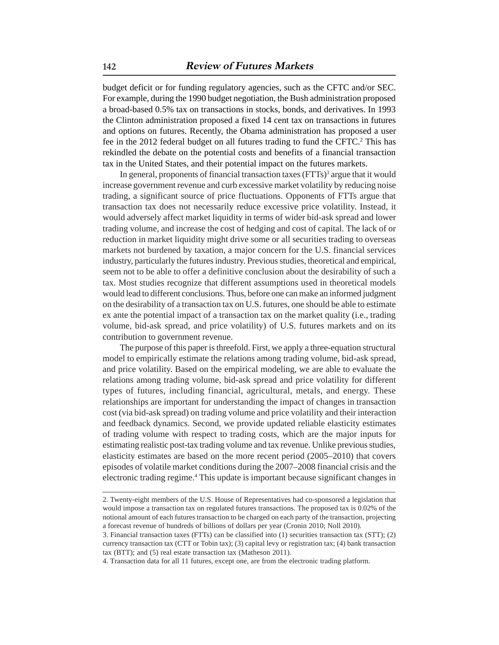budget deficit or for funding regulatory agencies, such as the CFTC and/or SEC. For example, during the 1990 budget negotiation, the Bush administration proposed a broad-based 0.5% tax on transactions in stocks, bonds, and derivatives. In 1993 the Clinton administration proposed a fixed 14 cent tax on transactions in futures and options on futures. Recently, the Obama administration has proposed a user fee in the 2012 federal budget on all futures trading to fund the CFTC.<sup>2</sup> This has rekindled the debate on the potential costs and benefits of a financial transaction tax in the United States, and their potential impact on the futures markets.

In general, proponents of financial transaction taxes (FTTs)<sup>3</sup> argue that it would increase government revenue and curb excessive market volatility by reducing noise trading, a significant source of price fluctuations. Opponents of FTTs argue that transaction tax does not necessarily reduce excessive price volatility. Instead, it would adversely affect market liquidity in terms of wider bid-ask spread and lower trading volume, and increase the cost of hedging and cost of capital. The lack of or reduction in market liquidity might drive some or all securities trading to overseas markets not burdened by taxation, a major concern for the U.S. financial services industry, particularly the futures industry. Previous studies, theoretical and empirical, seem not to be able to offer a definitive conclusion about the desirability of such a tax. Most studies recognize that different assumptions used in theoretical models would lead to different conclusions. Thus, before one can make an informed judgment on the desirability of a transaction tax on U.S. futures, one should be able to estimate ex ante the potential impact of a transaction tax on the market quality (i.e., trading volume, bid-ask spread, and price volatility) of U.S. futures markets and on its contribution to government revenue.

The purpose of this paper is threefold. First, we apply a three-equation structural model to empirically estimate the relations among trading volume, bid-ask spread, and price volatility. Based on the empirical modeling, we are able to evaluate the relations among trading volume, bid-ask spread and price volatility for different types of futures, including financial, agricultural, metals, and energy. These relationships are important for understanding the impact of changes in transaction cost (via bid-ask spread) on trading volume and price volatility and their interaction and feedback dynamics. Second, we provide updated reliable elasticity estimates of trading volume with respect to trading costs, which are the major inputs for estimating realistic post-tax trading volume and tax revenue. Unlike previous studies, elasticity estimates are based on the more recent period (2005–2010) that covers episodes of volatile market conditions during the 2007–2008 financial crisis and the electronic trading regime.<sup>4</sup> This update is important because significant changes in

<sup>2.</sup> Twenty-eight members of the U.S. House of Representatives had co-sponsored a legislation that would impose a transaction tax on regulated futures transactions. The proposed tax is 0.02% of the notional amount of each futures transaction to be charged on each party of the transaction, projecting a forecast revenue of hundreds of billions of dollars per year (Cronin 2010; Noll 2010).

<sup>3.</sup> Financial transaction taxes (FTTs) can be classified into (1) securities transaction tax (STT); (2) currency transaction tax (CTT or Tobin tax); (3) capital levy or registration tax; (4) bank transaction tax (BTT); and (5) real estate transaction tax (Matheson 2011).

<sup>4.</sup> Transaction data for all 11 futures, except one, are from the electronic trading platform.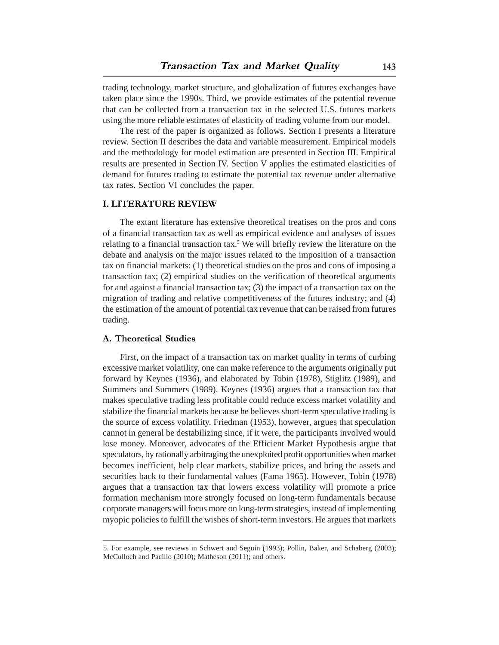trading technology, market structure, and globalization of futures exchanges have taken place since the 1990s. Third, we provide estimates of the potential revenue that can be collected from a transaction tax in the selected U.S. futures markets using the more reliable estimates of elasticity of trading volume from our model.

The rest of the paper is organized as follows. Section I presents a literature review. Section II describes the data and variable measurement. Empirical models and the methodology for model estimation are presented in Section III. Empirical results are presented in Section IV. Section V applies the estimated elasticities of demand for futures trading to estimate the potential tax revenue under alternative tax rates. Section VI concludes the paper.

# **I. LITERATURE REVIEW**

The extant literature has extensive theoretical treatises on the pros and cons of a financial transaction tax as well as empirical evidence and analyses of issues relating to a financial transaction tax.<sup>5</sup> We will briefly review the literature on the debate and analysis on the major issues related to the imposition of a transaction tax on financial markets: (1) theoretical studies on the pros and cons of imposing a transaction tax; (2) empirical studies on the verification of theoretical arguments for and against a financial transaction tax; (3) the impact of a transaction tax on the migration of trading and relative competitiveness of the futures industry; and (4) the estimation of the amount of potential tax revenue that can be raised from futures trading.

# **A. Theoretical Studies**

First, on the impact of a transaction tax on market quality in terms of curbing excessive market volatility, one can make reference to the arguments originally put forward by Keynes (1936), and elaborated by Tobin (1978), Stiglitz (1989), and Summers and Summers (1989). Keynes (1936) argues that a transaction tax that makes speculative trading less profitable could reduce excess market volatility and stabilize the financial markets because he believes short-term speculative trading is the source of excess volatility. Friedman (1953), however, argues that speculation cannot in general be destabilizing since, if it were, the participants involved would lose money. Moreover, advocates of the Efficient Market Hypothesis argue that speculators, by rationally arbitraging the unexploited profit opportunities when market becomes inefficient, help clear markets, stabilize prices, and bring the assets and securities back to their fundamental values (Fama 1965). However, Tobin (1978) argues that a transaction tax that lowers excess volatility will promote a price formation mechanism more strongly focused on long-term fundamentals because corporate managers will focus more on long-term strategies, instead of implementing myopic policies to fulfill the wishes of short-term investors. He argues that markets

<sup>5.</sup> For example, see reviews in Schwert and Seguin (1993); Pollin, Baker, and Schaberg (2003); McCulloch and Pacillo (2010); Matheson (2011); and others.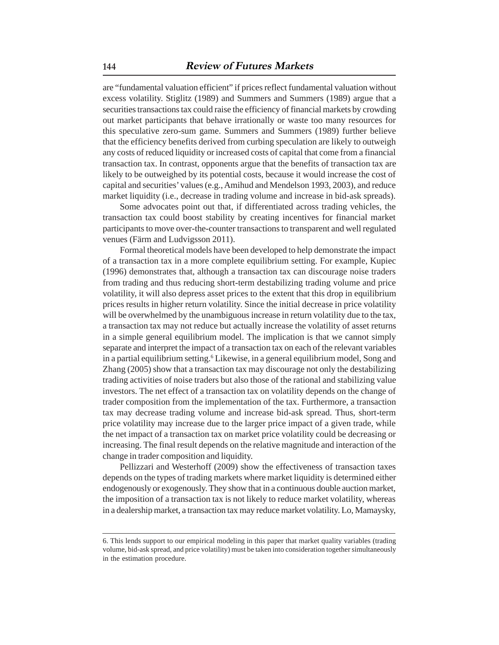are "fundamental valuation efficient" if prices reflect fundamental valuation without excess volatility. Stiglitz (1989) and Summers and Summers (1989) argue that a securities transactions tax could raise the efficiency of financial markets by crowding out market participants that behave irrationally or waste too many resources for this speculative zero-sum game. Summers and Summers (1989) further believe that the efficiency benefits derived from curbing speculation are likely to outweigh any costs of reduced liquidity or increased costs of capital that come from a financial transaction tax. In contrast, opponents argue that the benefits of transaction tax are likely to be outweighed by its potential costs, because it would increase the cost of capital and securities' values (e.g., Amihud and Mendelson 1993, 2003), and reduce market liquidity (i.e., decrease in trading volume and increase in bid-ask spreads).

Some advocates point out that, if differentiated across trading vehicles, the transaction tax could boost stability by creating incentives for financial market participants to move over-the-counter transactions to transparent and well regulated venues (Färm and Ludvigsson 2011).

Formal theoretical models have been developed to help demonstrate the impact of a transaction tax in a more complete equilibrium setting. For example, Kupiec (1996) demonstrates that, although a transaction tax can discourage noise traders from trading and thus reducing short-term destabilizing trading volume and price volatility, it will also depress asset prices to the extent that this drop in equilibrium prices results in higher return volatility. Since the initial decrease in price volatility will be overwhelmed by the unambiguous increase in return volatility due to the tax, a transaction tax may not reduce but actually increase the volatility of asset returns in a simple general equilibrium model. The implication is that we cannot simply separate and interpret the impact of a transaction tax on each of the relevant variables in a partial equilibrium setting.<sup>6</sup> Likewise, in a general equilibrium model, Song and Zhang (2005) show that a transaction tax may discourage not only the destabilizing trading activities of noise traders but also those of the rational and stabilizing value investors. The net effect of a transaction tax on volatility depends on the change of trader composition from the implementation of the tax. Furthermore, a transaction tax may decrease trading volume and increase bid-ask spread. Thus, short-term price volatility may increase due to the larger price impact of a given trade, while the net impact of a transaction tax on market price volatility could be decreasing or increasing. The final result depends on the relative magnitude and interaction of the change in trader composition and liquidity.

Pellizzari and Westerhoff (2009) show the effectiveness of transaction taxes depends on the types of trading markets where market liquidity is determined either endogenously or exogenously. They show that in a continuous double auction market, the imposition of a transaction tax is not likely to reduce market volatility, whereas in a dealership market, a transaction tax may reduce market volatility. Lo, Mamaysky,

<sup>6.</sup> This lends support to our empirical modeling in this paper that market quality variables (trading volume, bid-ask spread, and price volatility) must be taken into consideration together simultaneously in the estimation procedure.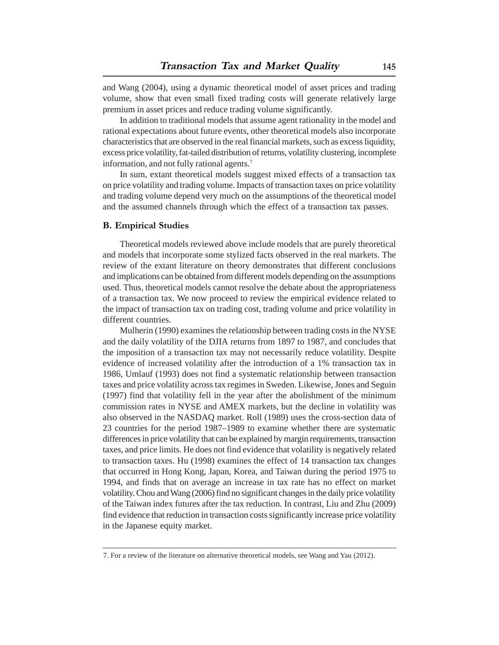and Wang (2004), using a dynamic theoretical model of asset prices and trading volume, show that even small fixed trading costs will generate relatively large premium in asset prices and reduce trading volume significantly.

In addition to traditional models that assume agent rationality in the model and rational expectations about future events, other theoretical models also incorporate characteristics that are observed in the real financial markets, such as excess liquidity, excess price volatility, fat-tailed distribution of returns, volatility clustering, incomplete information, and not fully rational agents.<sup>7</sup>

In sum, extant theoretical models suggest mixed effects of a transaction tax on price volatility and trading volume. Impacts of transaction taxes on price volatility and trading volume depend very much on the assumptions of the theoretical model and the assumed channels through which the effect of a transaction tax passes.

#### **B. Empirical Studies**

Theoretical models reviewed above include models that are purely theoretical and models that incorporate some stylized facts observed in the real markets. The review of the extant literature on theory demonstrates that different conclusions and implications can be obtained from different models depending on the assumptions used. Thus, theoretical models cannot resolve the debate about the appropriateness of a transaction tax. We now proceed to review the empirical evidence related to the impact of transaction tax on trading cost, trading volume and price volatility in different countries.

Mulherin (1990) examines the relationship between trading costs in the NYSE and the daily volatility of the DJIA returns from 1897 to 1987, and concludes that the imposition of a transaction tax may not necessarily reduce volatility. Despite evidence of increased volatility after the introduction of a 1% transaction tax in 1986, Umlauf (1993) does not find a systematic relationship between transaction taxes and price volatility across tax regimes in Sweden. Likewise, Jones and Seguin (1997) find that volatility fell in the year after the abolishment of the minimum commission rates in NYSE and AMEX markets, but the decline in volatility was also observed in the NASDAQ market. Roll (1989) uses the cross-section data of 23 countries for the period 1987–1989 to examine whether there are systematic differences in price volatility that can be explained by margin requirements, transaction taxes, and price limits. He does not find evidence that volatility is negatively related to transaction taxes. Hu (1998) examines the effect of 14 transaction tax changes that occurred in Hong Kong, Japan, Korea, and Taiwan during the period 1975 to 1994, and finds that on average an increase in tax rate has no effect on market volatility. Chou and Wang (2006) find no significant changes in the daily price volatility of the Taiwan index futures after the tax reduction. In contrast, Liu and Zhu (2009) find evidence that reduction in transaction costs significantly increase price volatility in the Japanese equity market.

<sup>7.</sup> For a review of the literature on alternative theoretical models, see Wang and Yau (2012).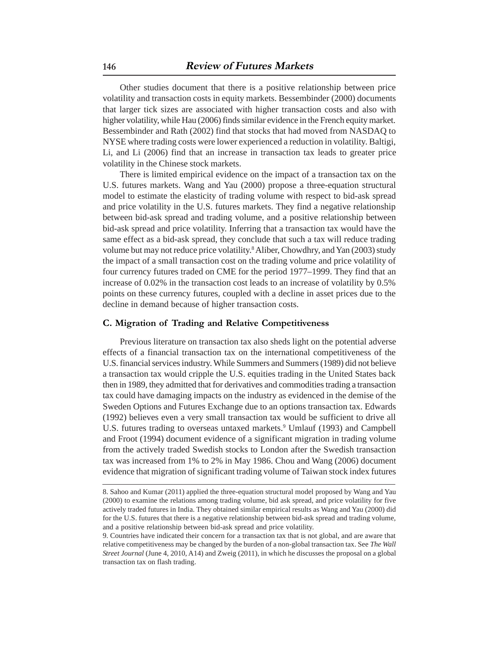Other studies document that there is a positive relationship between price volatility and transaction costs in equity markets. Bessembinder (2000) documents that larger tick sizes are associated with higher transaction costs and also with higher volatility, while Hau (2006) finds similar evidence in the French equity market. Bessembinder and Rath (2002) find that stocks that had moved from NASDAQ to NYSE where trading costs were lower experienced a reduction in volatility. Baltigi, Li, and Li (2006) find that an increase in transaction tax leads to greater price volatility in the Chinese stock markets.

There is limited empirical evidence on the impact of a transaction tax on the U.S. futures markets. Wang and Yau (2000) propose a three-equation structural model to estimate the elasticity of trading volume with respect to bid-ask spread and price volatility in the U.S. futures markets. They find a negative relationship between bid-ask spread and trading volume, and a positive relationship between bid-ask spread and price volatility. Inferring that a transaction tax would have the same effect as a bid-ask spread, they conclude that such a tax will reduce trading volume but may not reduce price volatility.<sup>8</sup> Aliber, Chowdhry, and Yan (2003) study the impact of a small transaction cost on the trading volume and price volatility of four currency futures traded on CME for the period 1977–1999. They find that an increase of 0.02% in the transaction cost leads to an increase of volatility by 0.5% points on these currency futures, coupled with a decline in asset prices due to the decline in demand because of higher transaction costs.

# **C. Migration of Trading and Relative Competitiveness**

Previous literature on transaction tax also sheds light on the potential adverse effects of a financial transaction tax on the international competitiveness of the U.S. financial services industry. While Summers and Summers (1989) did not believe a transaction tax would cripple the U.S. equities trading in the United States back then in 1989, they admitted that for derivatives and commodities trading a transaction tax could have damaging impacts on the industry as evidenced in the demise of the Sweden Options and Futures Exchange due to an options transaction tax. Edwards (1992) believes even a very small transaction tax would be sufficient to drive all U.S. futures trading to overseas untaxed markets.<sup>9</sup> Umlauf (1993) and Campbell and Froot (1994) document evidence of a significant migration in trading volume from the actively traded Swedish stocks to London after the Swedish transaction tax was increased from 1% to 2% in May 1986. Chou and Wang (2006) document evidence that migration of significant trading volume of Taiwan stock index futures

<sup>8.</sup> Sahoo and Kumar (2011) applied the three-equation structural model proposed by Wang and Yau (2000) to examine the relations among trading volume, bid ask spread, and price volatility for five actively traded futures in India. They obtained similar empirical results as Wang and Yau (2000) did for the U.S. futures that there is a negative relationship between bid-ask spread and trading volume, and a positive relationship between bid-ask spread and price volatility.

<sup>9.</sup> Countries have indicated their concern for a transaction tax that is not global, and are aware that relative competitiveness may be changed by the burden of a non-global transaction tax. See *The Wall Street Journal* (June 4, 2010, A14) and Zweig (2011), in which he discusses the proposal on a global transaction tax on flash trading.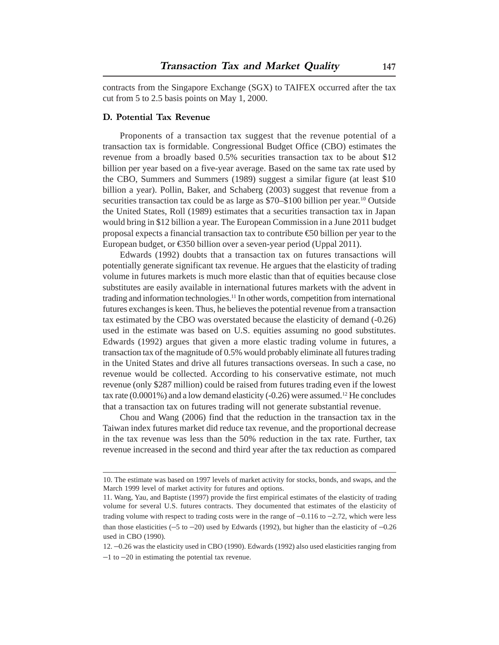contracts from the Singapore Exchange (SGX) to TAIFEX occurred after the tax cut from 5 to 2.5 basis points on May 1, 2000.

# **D. Potential Tax Revenue**

Proponents of a transaction tax suggest that the revenue potential of a transaction tax is formidable. Congressional Budget Office (CBO) estimates the revenue from a broadly based 0.5% securities transaction tax to be about \$12 billion per year based on a five-year average. Based on the same tax rate used by the CBO, Summers and Summers (1989) suggest a similar figure (at least \$10 billion a year). Pollin, Baker, and Schaberg (2003) suggest that revenue from a securities transaction tax could be as large as \$70–\$100 billion per year.<sup>10</sup> Outside the United States, Roll (1989) estimates that a securities transaction tax in Japan would bring in \$12 billion a year. The European Commission in a June 2011 budget proposal expects a financial transaction tax to contribute  $\epsilon$  billion per year to the European budget, or €350 billion over a seven-year period (Uppal 2011).

Edwards (1992) doubts that a transaction tax on futures transactions will potentially generate significant tax revenue. He argues that the elasticity of trading volume in futures markets is much more elastic than that of equities because close substitutes are easily available in international futures markets with the advent in trading and information technologies.11 In other words, competition from international futures exchanges is keen. Thus, he believes the potential revenue from a transaction tax estimated by the CBO was overstated because the elasticity of demand (-0.26) used in the estimate was based on U.S. equities assuming no good substitutes. Edwards (1992) argues that given a more elastic trading volume in futures, a transaction tax of the magnitude of 0.5% would probably eliminate all futures trading in the United States and drive all futures transactions overseas. In such a case, no revenue would be collected. According to his conservative estimate, not much revenue (only \$287 million) could be raised from futures trading even if the lowest tax rate  $(0.0001\%)$  and a low demand elasticity  $(-0.26)$  were assumed.<sup>12</sup> He concludes that a transaction tax on futures trading will not generate substantial revenue.

Chou and Wang (2006) find that the reduction in the transaction tax in the Taiwan index futures market did reduce tax revenue, and the proportional decrease in the tax revenue was less than the 50% reduction in the tax rate. Further, tax revenue increased in the second and third year after the tax reduction as compared

<sup>10.</sup> The estimate was based on 1997 levels of market activity for stocks, bonds, and swaps, and the March 1999 level of market activity for futures and options.

<sup>11.</sup> Wang, Yau, and Baptiste (1997) provide the first empirical estimates of the elasticity of trading volume for several U.S. futures contracts. They documented that estimates of the elasticity of trading volume with respect to trading costs were in the range of  $-0.116$  to  $-2.72$ , which were less than those elasticities  $(-5 \text{ to } -20)$  used by Edwards (1992), but higher than the elasticity of  $-0.26$ used in CBO (1990).

<sup>12. –0.26</sup> was the elasticity used in CBO (1990). Edwards (1992) also used elasticities ranging from  $-1$  to  $-20$  in estimating the potential tax revenue.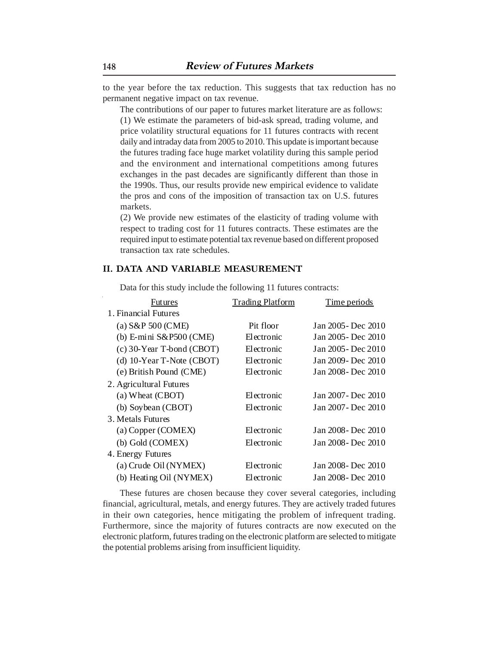to the year before the tax reduction. This suggests that tax reduction has no permanent negative impact on tax revenue.

The contributions of our paper to futures market literature are as follows: (1) We estimate the parameters of bid-ask spread, trading volume, and price volatility structural equations for 11 futures contracts with recent daily and intraday data from 2005 to 2010. This update is important because the futures trading face huge market volatility during this sample period and the environment and international competitions among futures exchanges in the past decades are significantly different than those in the 1990s. Thus, our results provide new empirical evidence to validate the pros and cons of the imposition of transaction tax on U.S. futures markets.

(2) We provide new estimates of the elasticity of trading volume with respect to trading cost for 11 futures contracts. These estimates are the required input to estimate potential tax revenue based on different proposed transaction tax rate schedules.

# **II. DATA AND VARIABLE MEASUREMENT**

Data for this study include the following 11 futures contracts:

| Futures                      | <b>Trading Platform</b> | Time periods        |
|------------------------------|-------------------------|---------------------|
| 1. Financial Futures         |                         |                     |
| (a) $S\&P 500$ (CME)         | Pit floor               | Jan 2005 - Dec 2010 |
| (b) E-mini $S\&P500$ (CME)   | Electronic              | Jan 2005 - Dec 2010 |
| $(c)$ 30-Year T-bond (CBOT)  | Electronic              | Jan 2005 - Dec 2010 |
| (d) $10$ -Year T-Note (CBOT) | Electronic              | Jan 2009 - Dec 2010 |
| (e) British Pound (CME)      | Electronic              | Jan 2008 - Dec 2010 |
| 2. Agricultural Futures      |                         |                     |
| (a) Wheat (CBOT)             | Electronic              | Jan 2007 - Dec 2010 |
| (b) Soybean (CBOT)           | Electronic              | Jan 2007 - Dec 2010 |
| 3. Metals Futures            |                         |                     |
| (a) Copper (COMEX)           | Electronic              | Jan 2008 - Dec 2010 |
| (b) Gold (COMEX)             | Electronic              | Jan 2008 - Dec 2010 |
| 4. Energy Futures            |                         |                     |
| (a) Crude Oil (NYMEX)        | Electronic              | Jan 2008 - Dec 2010 |
| (b) Heating Oil (NYMEX)      | Electronic              | Jan 2008 - Dec 2010 |

These futures are chosen because they cover several categories, including financial, agricultural, metals, and energy futures. They are actively traded futures in their own categories, hence mitigating the problem of infrequent trading. Furthermore, since the majority of futures contracts are now executed on the electronic platform, futures trading on the electronic platform are selected to mitigate the potential problems arising from insufficient liquidity.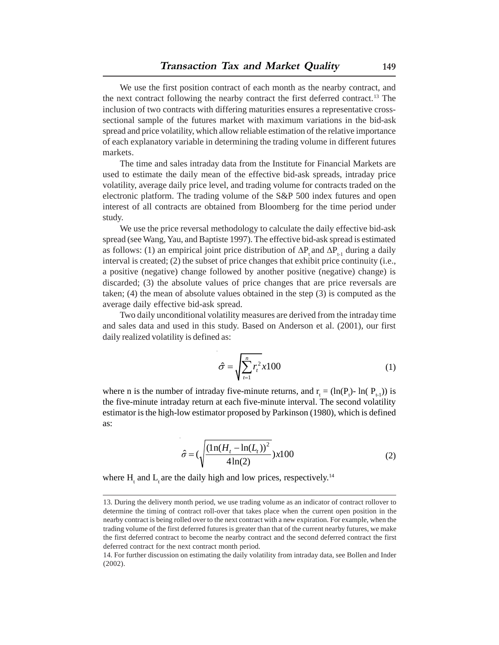We use the first position contract of each month as the nearby contract, and the next contract following the nearby contract the first deferred contract.<sup>13</sup> The inclusion of two contracts with differing maturities ensures a representative crosssectional sample of the futures market with maximum variations in the bid-ask spread and price volatility, which allow reliable estimation of the relative importance of each explanatory variable in determining the trading volume in different futures markets.

The time and sales intraday data from the Institute for Financial Markets are used to estimate the daily mean of the effective bid-ask spreads, intraday price volatility, average daily price level, and trading volume for contracts traded on the electronic platform. The trading volume of the S&P 500 index futures and open interest of all contracts are obtained from Bloomberg for the time period under study.

We use the price reversal methodology to calculate the daily effective bid-ask spread (see Wang, Yau, and Baptiste 1997). The effective bid-ask spread is estimated as follows: (1) an empirical joint price distribution of  $\Delta P_t$  and  $\Delta P_{t-1}$  during a daily interval is created; (2) the subset of price changes that exhibit price continuity (i.e., a positive (negative) change followed by another positive (negative) change) is discarded; (3) the absolute values of price changes that are price reversals are taken; (4) the mean of absolute values obtained in the step (3) is computed as the average daily effective bid-ask spread.

Two daily unconditional volatility measures are derived from the intraday time and sales data and used in this study. Based on Anderson et al. (2001), our first daily realized volatility is defined as:

$$
\hat{\sigma} = \sqrt{\sum_{t=1}^{n} r_t^2} x 100
$$
 (1)

where n is the number of intraday five-minute returns, and  $r_t = (\ln(P_t) - \ln(P_{t-1}))$  is the five-minute intraday return at each five-minute interval. The second volatility estimator is the high-low estimator proposed by Parkinson (1980), which is defined as:

$$
\hat{\sigma} = \left(\sqrt{\frac{\left(\ln(H_t - \ln(L_t))^2}{4\ln(2)}\right)} x 100\right)
$$
\n(2)

where  $H_t$  and  $L_t$  are the daily high and low prices, respectively.<sup>14</sup>

<sup>13.</sup> During the delivery month period, we use trading volume as an indicator of contract rollover to determine the timing of contract roll-over that takes place when the current open position in the nearby contract is being rolled over to the next contract with a new expiration. For example, when the trading volume of the first deferred futures is greater than that of the current nearby futures, we make the first deferred contract to become the nearby contract and the second deferred contract the first deferred contract for the next contract month period.

<sup>14.</sup> For further discussion on estimating the daily volatility from intraday data, see Bollen and Inder (2002).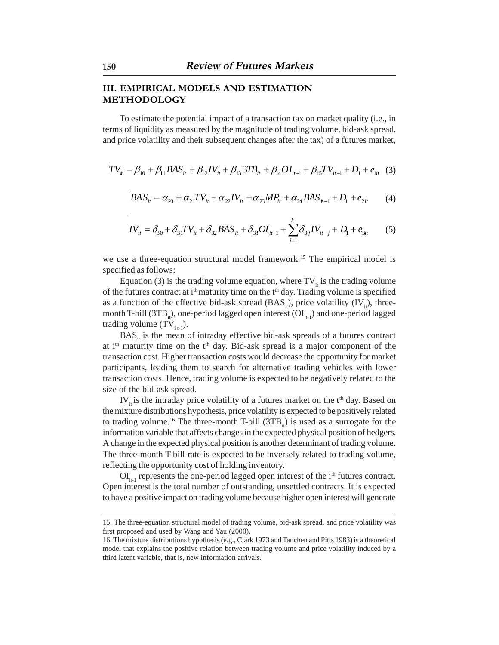# **III. EMPIRICAL MODELS AND ESTIMATION METHODOLOGY**

To estimate the potential impact of a transaction tax on market quality (i.e., in terms of liquidity as measured by the magnitude of trading volume, bid-ask spread, and price volatility and their subsequent changes after the tax) of a futures market,

$$
TV_{i} = \beta_{10} + \beta_{11} BAS_{ii} + \beta_{12} IV_{ii} + \beta_{13} 3TB_{ii} + \beta_{14} OI_{ii-1} + \beta_{15} TV_{ii-1} + D_{1} + e_{1ii} \quad (3)
$$

$$
BAS_{it} = \alpha_{20} + \alpha_{21}TV_{it} + \alpha_{22}IV_{it} + \alpha_{23}MP_{it} + \alpha_{24}BAS_{it-1} + D_1 + e_{2it}
$$
 (4)

$$
IV_{it} = \delta_{30} + \delta_{31} TV_{it} + \delta_{32} BAS_{it} + \delta_{33} OI_{it-1} + \sum_{j=1}^{k} \delta_{3j} IV_{it-j} + D_{1} + e_{3it}
$$
 (5)

we use a three-equation structural model framework.<sup>15</sup> The empirical model is specified as follows:

Equation (3) is the trading volume equation, where  $TV_{it}$  is the trading volume of the futures contract at  $i<sup>th</sup>$  maturity time on the  $t<sup>th</sup>$  day. Trading volume is specified as a function of the effective bid-ask spread  $(BAS_i)$ , price volatility  $(IV_i)$ , threemonth T-bill (3TB<sub>ii</sub>), one-period lagged open interest ( $\text{OL}_{i+1}$ ) and one-period lagged trading volume  $(TV_{i_{t-1}})$ .

 $BAS<sub>it</sub>$  is the mean of intraday effective bid-ask spreads of a futures contract at i<sup>th</sup> maturity time on the  $t<sup>th</sup>$  day. Bid-ask spread is a major component of the transaction cost. Higher transaction costs would decrease the opportunity for market participants, leading them to search for alternative trading vehicles with lower transaction costs. Hence, trading volume is expected to be negatively related to the size of the bid-ask spread.

 $IV_{it}$  is the intraday price volatility of a futures market on the  $t<sup>th</sup>$  day. Based on the mixture distributions hypothesis, price volatility is expected to be positively related to trading volume.<sup>16</sup> The three-month T-bill  $(3TB<sub>ii</sub>)$  is used as a surrogate for the information variable that affects changes in the expected physical position of hedgers. A change in the expected physical position is another determinant of trading volume. The three-month T-bill rate is expected to be inversely related to trading volume, reflecting the opportunity cost of holding inventory.

 $\text{OI}_{i-1}$  represents the one-period lagged open interest of the i<sup>th</sup> futures contract. Open interest is the total number of outstanding, unsettled contracts. It is expected to have a positive impact on trading volume because higher open interest will generate

<sup>15.</sup> The three-equation structural model of trading volume, bid-ask spread, and price volatility was first proposed and used by Wang and Yau (2000).

<sup>16.</sup> The mixture distributions hypothesis (e.g., Clark 1973 and Tauchen and Pitts 1983) is a theoretical model that explains the positive relation between trading volume and price volatility induced by a third latent variable, that is, new information arrivals.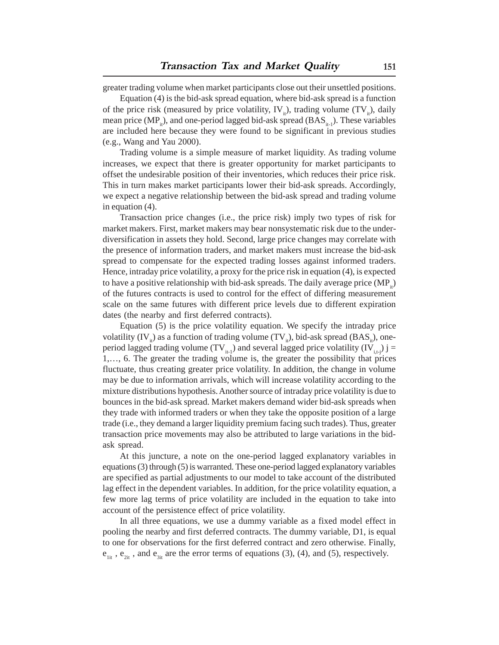greater trading volume when market participants close out their unsettled positions.

Equation (4) is the bid-ask spread equation, where bid-ask spread is a function of the price risk (measured by price volatility, IV<sub>it</sub>), trading volume (TV<sub>it</sub>), daily mean price  $(MP_{i}^{t})$ , and one-period lagged bid-ask spread (BAS $_{i}^{t}$ ). These variables are included here because they were found to be significant in previous studies (e.g., Wang and Yau 2000).

Trading volume is a simple measure of market liquidity. As trading volume increases, we expect that there is greater opportunity for market participants to offset the undesirable position of their inventories, which reduces their price risk. This in turn makes market participants lower their bid-ask spreads. Accordingly, we expect a negative relationship between the bid-ask spread and trading volume in equation (4).

Transaction price changes (i.e., the price risk) imply two types of risk for market makers. First, market makers may bear nonsystematic risk due to the underdiversification in assets they hold. Second, large price changes may correlate with the presence of information traders, and market makers must increase the bid-ask spread to compensate for the expected trading losses against informed traders. Hence, intraday price volatility, a proxy for the price risk in equation (4), is expected to have a positive relationship with bid-ask spreads. The daily average price  $(MP_1)$ of the futures contracts is used to control for the effect of differing measurement scale on the same futures with different price levels due to different expiration dates (the nearby and first deferred contracts).

Equation (5) is the price volatility equation. We specify the intraday price volatility  $(IV_i)$  as a function of trading volume  $(TV_i)$ , bid-ask spread  $(BAS_i)$ , oneperiod lagged trading volume (TV<sub>it-1</sub>) and several lagged price volatility (IV<sub>it-i</sub>) j = 1,…, 6. The greater the trading volume is, the greater the possibility that prices fluctuate, thus creating greater price volatility. In addition, the change in volume may be due to information arrivals, which will increase volatility according to the mixture distributions hypothesis. Another source of intraday price volatility is due to bounces in the bid-ask spread. Market makers demand wider bid-ask spreads when they trade with informed traders or when they take the opposite position of a large trade (i.e., they demand a larger liquidity premium facing such trades). Thus, greater transaction price movements may also be attributed to large variations in the bidask spread.

At this juncture, a note on the one-period lagged explanatory variables in equations (3) through (5) is warranted. These one-period lagged explanatory variables are specified as partial adjustments to our model to take account of the distributed lag effect in the dependent variables. In addition, for the price volatility equation, a few more lag terms of price volatility are included in the equation to take into account of the persistence effect of price volatility.

In all three equations, we use a dummy variable as a fixed model effect in pooling the nearby and first deferred contracts. The dummy variable, D1, is equal to one for observations for the first deferred contract and zero otherwise. Finally,  $e_{1it}$ ,  $e_{2it}$ , and  $e_{3it}$  are the error terms of equations (3), (4), and (5), respectively.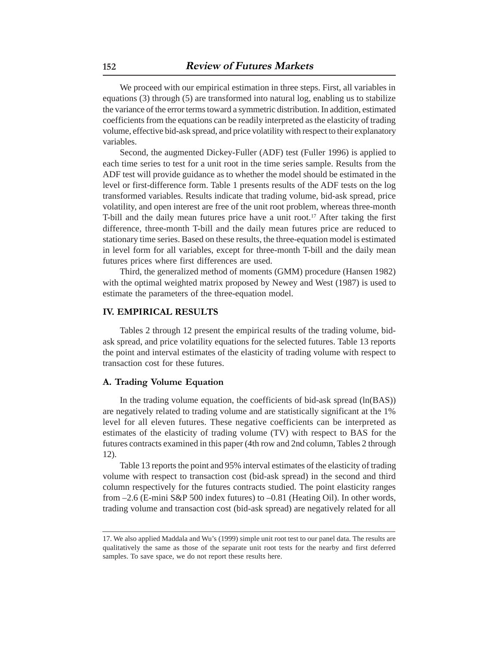We proceed with our empirical estimation in three steps. First, all variables in equations (3) through (5) are transformed into natural log, enabling us to stabilize the variance of the error terms toward a symmetric distribution. In addition, estimated coefficients from the equations can be readily interpreted as the elasticity of trading volume, effective bid-ask spread, and price volatility with respect to their explanatory variables.

Second, the augmented Dickey-Fuller (ADF) test (Fuller 1996) is applied to each time series to test for a unit root in the time series sample. Results from the ADF test will provide guidance as to whether the model should be estimated in the level or first-difference form. Table 1 presents results of the ADF tests on the log transformed variables. Results indicate that trading volume, bid-ask spread, price volatility, and open interest are free of the unit root problem, whereas three-month T-bill and the daily mean futures price have a unit root.<sup>17</sup> After taking the first difference, three-month T-bill and the daily mean futures price are reduced to stationary time series. Based on these results, the three-equation model is estimated in level form for all variables, except for three-month T-bill and the daily mean futures prices where first differences are used.

Third, the generalized method of moments (GMM) procedure (Hansen 1982) with the optimal weighted matrix proposed by Newey and West (1987) is used to estimate the parameters of the three-equation model.

# **IV. EMPIRICAL RESULTS**

Tables 2 through 12 present the empirical results of the trading volume, bidask spread, and price volatility equations for the selected futures. Table 13 reports the point and interval estimates of the elasticity of trading volume with respect to transaction cost for these futures.

# **A. Trading Volume Equation**

In the trading volume equation, the coefficients of bid-ask spread (ln(BAS)) are negatively related to trading volume and are statistically significant at the 1% level for all eleven futures. These negative coefficients can be interpreted as estimates of the elasticity of trading volume (TV) with respect to BAS for the futures contracts examined in this paper (4th row and 2nd column, Tables 2 through 12).

Table 13 reports the point and 95% interval estimates of the elasticity of trading volume with respect to transaction cost (bid-ask spread) in the second and third column respectively for the futures contracts studied. The point elasticity ranges from –2.6 (E-mini S&P 500 index futures) to –0.81 (Heating Oil). In other words, trading volume and transaction cost (bid-ask spread) are negatively related for all

<sup>17.</sup> We also applied Maddala and Wu's (1999) simple unit root test to our panel data. The results are qualitatively the same as those of the separate unit root tests for the nearby and first deferred samples. To save space, we do not report these results here.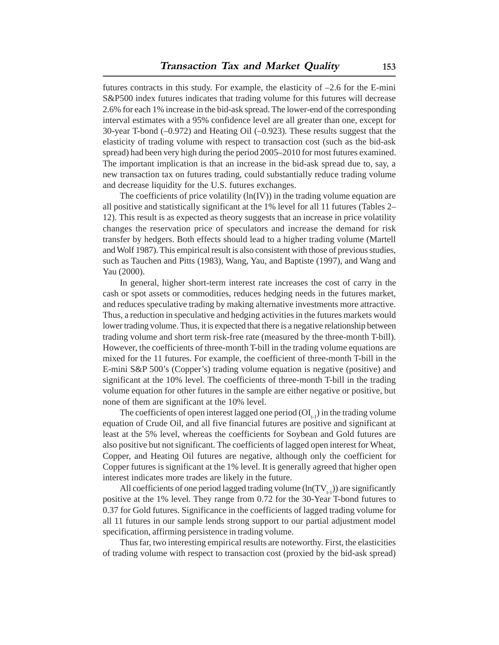futures contracts in this study. For example, the elasticity of  $-2.6$  for the E-mini S&P500 index futures indicates that trading volume for this futures will decrease 2.6% for each 1% increase in the bid-ask spread. The lower-end of the corresponding interval estimates with a 95% confidence level are all greater than one, except for 30-year T-bond (–0.972) and Heating Oil (–0.923). These results suggest that the elasticity of trading volume with respect to transaction cost (such as the bid-ask spread) had been very high during the period 2005–2010 for most futures examined. The important implication is that an increase in the bid-ask spread due to, say, a new transaction tax on futures trading, could substantially reduce trading volume and decrease liquidity for the U.S. futures exchanges.

The coefficients of price volatility  $(ln(IV))$  in the trading volume equation are all positive and statistically significant at the 1% level for all 11 futures (Tables 2– 12). This result is as expected as theory suggests that an increase in price volatility changes the reservation price of speculators and increase the demand for risk transfer by hedgers. Both effects should lead to a higher trading volume (Martell and Wolf 1987). This empirical result is also consistent with those of previous studies, such as Tauchen and Pitts (1983), Wang, Yau, and Baptiste (1997), and Wang and Yau (2000).

In general, higher short-term interest rate increases the cost of carry in the cash or spot assets or commodities, reduces hedging needs in the futures market, and reduces speculative trading by making alternative investments more attractive. Thus, a reduction in speculative and hedging activities in the futures markets would lower trading volume. Thus, it is expected that there is a negative relationship between trading volume and short term risk-free rate (measured by the three-month T-bill). However, the coefficients of three-month T-bill in the trading volume equations are mixed for the 11 futures. For example, the coefficient of three-month T-bill in the E-mini S&P 500's (Copper's) trading volume equation is negative (positive) and significant at the 10% level. The coefficients of three-month T-bill in the trading volume equation for other futures in the sample are either negative or positive, but none of them are significant at the 10% level.

The coefficients of open interest lagged one period  $(OI_{t-1})$  in the trading volume equation of Crude Oil, and all five financial futures are positive and significant at least at the 5% level, whereas the coefficients for Soybean and Gold futures are also positive but not significant. The coefficients of lagged open interest for Wheat, Copper, and Heating Oil futures are negative, although only the coefficient for Copper futures is significant at the 1% level. It is generally agreed that higher open interest indicates more trades are likely in the future.

All coefficients of one period lagged trading volume  $(ln(TV_{t-1}))$  are significantly positive at the 1% level. They range from 0.72 for the 30-Year T-bond futures to 0.37 for Gold futures. Significance in the coefficients of lagged trading volume for all 11 futures in our sample lends strong support to our partial adjustment model specification, affirming persistence in trading volume.

Thus far, two interesting empirical results are noteworthy. First, the elasticities of trading volume with respect to transaction cost (proxied by the bid-ask spread)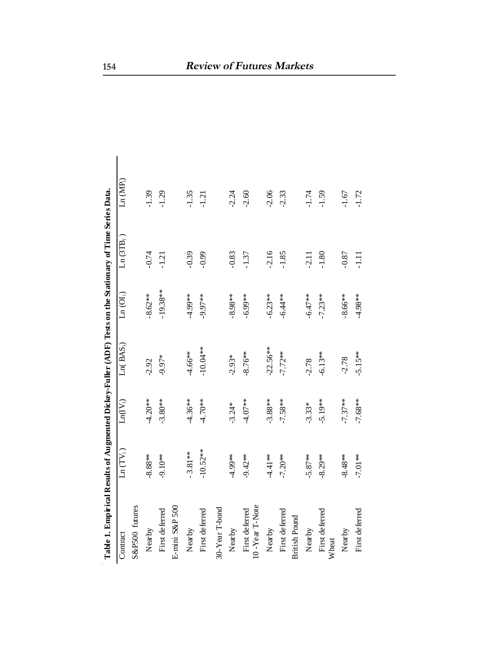| Table 1. Empirical Results of Augmented Dickey-Fuller (ADF) Tests on the Stationary of Time Series Data. |             |            |                        |                       |                       |            |  |
|----------------------------------------------------------------------------------------------------------|-------------|------------|------------------------|-----------------------|-----------------------|------------|--|
| Contract                                                                                                 | $Ln(TV_i)$  | $Ln(V_i)$  | Ln( BAS <sub>i</sub> ) | Ln (OI <sub>i</sub> ) | Ln(3TB <sub>i</sub> ) | $Ln(MP_i)$ |  |
| S&P500 futures                                                                                           |             |            |                        |                       |                       |            |  |
| Nearby                                                                                                   | $-8.88**$   | $-4.20**$  | $-2.92$                | $-8.62***$            | $-0.74$               | $-1.39$    |  |
| First deferred                                                                                           | $-9.10**$   | $-3.80**$  | $-9.97*$               | $-19.38**$            | $-1.21$               | $-1.29$    |  |
| E-mini S&P 500                                                                                           |             |            |                        |                       |                       |            |  |
| Nearby                                                                                                   | $-3.81***$  | $-4.36**$  | $-4.66**$              | $-4.99**$             | $-0.39$               | $-1.35$    |  |
| First deferred                                                                                           | $-10.52***$ | $-4.70**$  | $-10.04**$             | $-9.97***$            | $-0.99$               | $-1.21$    |  |
| 30-Year T-bond                                                                                           |             |            |                        |                       |                       |            |  |
| Nearby                                                                                                   | $4.99**$    | $-3.24*$   | $-2.93*$               | $-8.98**$             | $-0.83$               | $-2.24$    |  |
| 10-Year T-Note<br>First deferred                                                                         | $-9.42**$   | $4.07**$   | $-8.76***$             | $-6.99***$            | $-1.37$               | $-2.60$    |  |
| Nearby                                                                                                   | $-4.41**$   | $-3.88**$  | $-22.56***$            | $-6.23**$             | $-2.16$               | $-2.06$    |  |
| First deferred                                                                                           | $-7.20**$   | $-7.58**$  | $-7.72**$              | $-6.44**$             | $-1.85$               | $-2.33$    |  |
| <b>British Pound</b>                                                                                     |             |            |                        |                       |                       |            |  |
| Nearby                                                                                                   | $-5.87**$   | $-3.33*$   | $-2.78$                | $-6.47**$             | $-2.11$               | $-1.74$    |  |
| First deferred<br><b>Wheat</b>                                                                           | $-8.29**$   | $-5.19***$ | $-6.13**$              | $-7.23**$             | $-1.80$               | $-1.59$    |  |
| Nearby                                                                                                   | $-8.48**$   | $-7.37**$  | $-2.78$                | $-8.66***$            | $-0.87$               | $-1.67$    |  |
| First deferred                                                                                           | $-7.01**$   | $-7.68**$  | $-5.15***$             | $-4.98**$             | $\Xi$                 | $-1.72$    |  |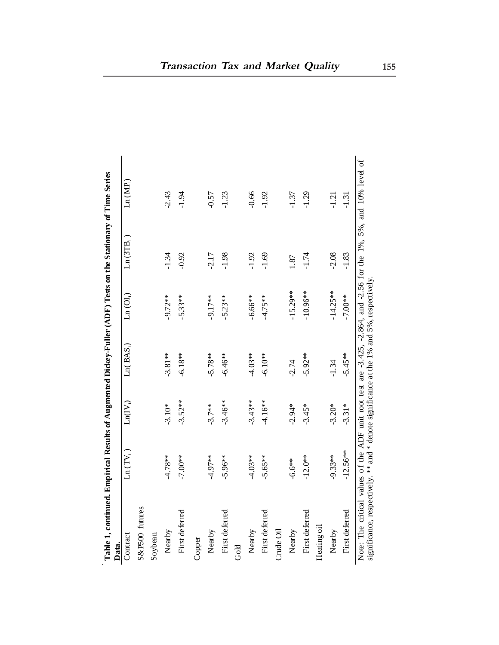| Table 1, continued. Empirical Results of Augmented Dickey-Fuller (ADF) Tests on the Stationary of Time Series<br>Data.                                                                                          |                                            |                   |                        |                           |             |         |
|-----------------------------------------------------------------------------------------------------------------------------------------------------------------------------------------------------------------|--------------------------------------------|-------------------|------------------------|---------------------------|-------------|---------|
| Contract                                                                                                                                                                                                        | $\text{Ln}\left(\text{TV}_\text{i}\right)$ | $\text{Ln}(IV_i)$ | Ln( BAS <sub>i</sub> ) | $\text{Ln}~(\text{OI}_i)$ | $Ln(GTB_i)$ | Ln(MP)  |
| S&P500 futures                                                                                                                                                                                                  |                                            |                   |                        |                           |             |         |
| Soybean                                                                                                                                                                                                         |                                            |                   |                        |                           |             |         |
| Nearby                                                                                                                                                                                                          | $4.78**$                                   | $-3.10*$          | $-3.81**$              | $-9.72**$                 | $-1.34$     | $-2.43$ |
| First deferred                                                                                                                                                                                                  | -7.00**                                    | $-3.52**$         | $-6.18**$              | $-5.33**$                 | $-0.92$     | $-1.94$ |
| Copper                                                                                                                                                                                                          |                                            |                   |                        |                           |             |         |
| Nearby                                                                                                                                                                                                          | $-4.97**$                                  | $-3.7**$          | $-5.78**$              | $-9.17***$                | $-2.17$     | $-0.57$ |
| First deferred                                                                                                                                                                                                  | $-5.96**$                                  | $-3.46**$         | $-6.46**$              | $-5.23**$                 | $-1.98$     | $-1.23$ |
| Gold                                                                                                                                                                                                            |                                            |                   |                        |                           |             |         |
| Nearby                                                                                                                                                                                                          | $4.03**$                                   | $-3.43**$         | $4.03**$               | $-6.66**$                 | $-1.92$     | $-0.66$ |
| First deferred                                                                                                                                                                                                  | $-5.65***$                                 | $-4.16**$         | $-6.10**$              | $-4.75**$                 | $-1.69$     | $-1.92$ |
| Crude Oil                                                                                                                                                                                                       |                                            |                   |                        |                           |             |         |
| Nearby                                                                                                                                                                                                          | $-6.6**$                                   | $-2.94*$          | $-2.74$                | $-15.29***$               | 1.87        | $-1.37$ |
| First deferred                                                                                                                                                                                                  | $-12.0**$                                  | $-3.45*$          | $-5.92**$              | $-10.96***$               | $-1.74$     | $-1.29$ |
| Heating oil                                                                                                                                                                                                     |                                            |                   |                        |                           |             |         |
| Nearby                                                                                                                                                                                                          | $-9.33**$                                  | $-3.20*$          | $-1.34$                | $-14.25***$               | $-2.08$     | $-1.21$ |
| First deferred                                                                                                                                                                                                  | $-12.56**$                                 | $-3.31*$          | $-5.45**$              | $-7.00**$                 | $-1.83$     | $-1.31$ |
| Note: The critical values of the ADF unit root test are -3.425, -2.864, and -2.56 for the 1%, 5%, and 10% level of<br>significance, respectively. *** and * denote significance at the 1% and 5%, respectively. |                                            |                   |                        |                           |             |         |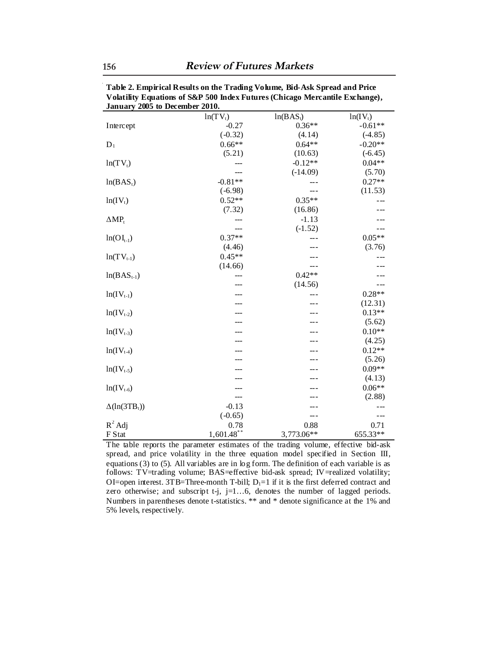| January 2005 to December 2010. |               |             |            |  |
|--------------------------------|---------------|-------------|------------|--|
|                                | $ln(TV_t)$    | $ln(BAS_t)$ | $ln(IV_t)$ |  |
| Intercept                      | $-0.27$       | $0.36**$    | $-0.61**$  |  |
|                                | $(-0.32)$     | (4.14)      | $(-4.85)$  |  |
| $D_1$                          | $0.66**$      | $0.64**$    | $-0.20**$  |  |
|                                | (5.21)        | (10.63)     | $(-6.45)$  |  |
| $ln(TV_t)$                     |               | $-0.12**$   | $0.04**$   |  |
|                                |               | $(-14.09)$  | (5.70)     |  |
| $ln(BAS_1)$                    | $-0.81**$     |             | $0.27**$   |  |
|                                | $(-6.98)$     |             | (11.53)    |  |
| $ln(IV_t)$                     | $0.52**$      | $0.35**$    |            |  |
|                                | (7.32)        | (16.86)     |            |  |
| $\Delta MP_t$                  |               | $-1.13$     |            |  |
|                                | ---           | $(-1.52)$   | ---        |  |
| $ln(OI_{t-1})$                 | $0.37**$      |             | $0.05**$   |  |
|                                | (4.46)        |             | (3.76)     |  |
| $ln(TV_{t-1})$                 | $0.45**$      |             |            |  |
|                                | (14.66)       | ---         |            |  |
| $ln(BAS_{t-1})$                |               | $0.42**$    |            |  |
|                                |               | (14.56)     | ---        |  |
| $ln(IV_{t-1})$                 |               |             | $0.28**$   |  |
|                                |               |             | (12.31)    |  |
| $ln(IV_{t-2})$                 |               |             | $0.13**$   |  |
|                                |               |             | (5.62)     |  |
| $ln(IV_{t-3})$                 |               |             | $0.10**$   |  |
|                                |               |             | (4.25)     |  |
| $ln(IV_{t-4})$                 |               |             | $0.12**$   |  |
|                                |               |             | (5.26)     |  |
| $ln(IV_{t-5})$                 |               |             | $0.09**$   |  |
|                                |               |             | (4.13)     |  |
| $ln(IV_{t-6})$                 |               |             | $0.06**$   |  |
|                                | ---           |             | (2.88)     |  |
| $\Delta(\ln(3TB_t))$           | $-0.13$       |             |            |  |
|                                | $(-0.65)$     | ---         | - --       |  |
| $R^2$ Adj                      | 0.78          | 0.88        | 0.71       |  |
| F Stat                         | $1,601.48$ ** | 3,773.06**  | 655.33**   |  |

**Table 2. Empirical Results on the Trading Volume, Bid-Ask Spread and Price Volatility Equations of S&P 500 Index Futures (Chicago Mercantile Exchange), January 2005 to December 2010.** 

The table reports the parameter estimates of the trading volume, effective bid-ask spread, and price volatility in the three equation model specified in Section III, equations (3) to (5). All variables are in log form. The definition of each variable is as follows: TV=trading volume; BAS=effective bid-ask spread; IV=realized volatility; OI=open interest. 3TB=Three-month T-bill;  $D_1=1$  if it is the first deferred contract and zero otherwise; and subscript t-j,  $j=1...6$ , denotes the number of lagged periods. Numbers in parentheses denote t-statistics. \*\* and \* denote significance at the 1% and 5% levels, respectively.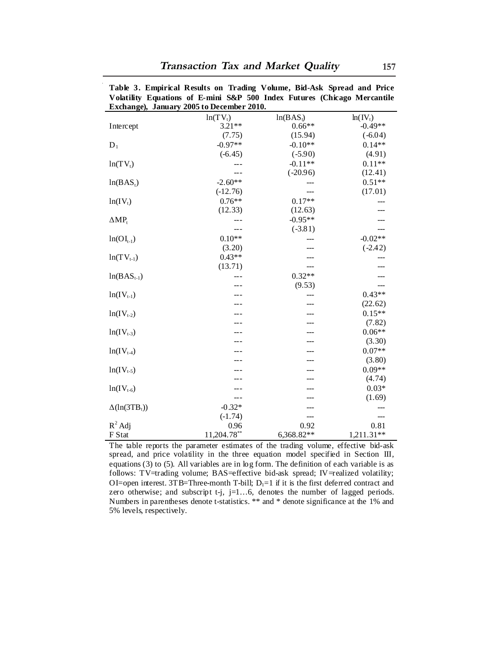|                       | Exchange), January 2005 to December 2010. |             |            |
|-----------------------|-------------------------------------------|-------------|------------|
|                       | $ln(TV_t)$                                | $ln(BAS_i)$ | $ln(IV_t)$ |
| Intercept             | $3.21**$                                  | $0.66**$    | $-0.49**$  |
|                       | (7.75)                                    | (15.94)     | $(-6.04)$  |
| $D_1$                 | $-0.97**$                                 | $-0.10**$   | $0.14**$   |
|                       | $(-6.45)$                                 | $(-5.90)$   | (4.91)     |
| $ln(TV_t)$            |                                           | $-0.11**$   | $0.11**$   |
|                       | $---$                                     | $(-20.96)$  | (12.41)    |
| ln(BAS <sub>1</sub> ) | $-2.60**$                                 |             | $0.51**$   |
|                       | $(-12.76)$                                |             | (17.01)    |
| $ln(IV_t)$            | $0.76**$                                  | $0.17**$    |            |
|                       | (12.33)                                   | (12.63)     |            |
| $\Delta MP_t$         |                                           | $-0.95**$   |            |
|                       |                                           | $(-3.81)$   |            |
| $ln(OI_{t-1})$        | $0.10**$                                  | ---         | $-0.02**$  |
|                       | (3.20)                                    | ---         | $(-2.42)$  |
| $ln(TV_{t-1})$        | $0.43**$                                  |             |            |
|                       | (13.71)                                   |             |            |
| $ln(BAS_{t-1})$       |                                           | $0.32**$    |            |
|                       |                                           | (9.53)      |            |
| $ln(IV_{t-1})$        |                                           |             | $0.43**$   |
|                       |                                           |             | (22.62)    |
| $ln(IV_{t-2})$        |                                           |             | $0.15**$   |
|                       |                                           |             | (7.82)     |
| $ln(IV_{t-3})$        |                                           |             | $0.06**$   |
|                       |                                           |             | (3.30)     |
| $ln(IV_{t-4})$        |                                           |             | $0.07**$   |
|                       |                                           |             | (3.80)     |
| $ln(IV_{t-5})$        |                                           |             | $0.09**$   |
|                       |                                           |             | (4.74)     |
| $ln(IV_{t-6})$        |                                           |             | $0.03*$    |
|                       | ---                                       | ---         | (1.69)     |
| $\Delta(\ln(3TB_t))$  | $-0.32*$                                  |             | ---        |
|                       | $(-1.74)$                                 | ---         | ---        |
| $R^2$ Adj             | 0.96                                      | 0.92        | 0.81       |
| F Stat                | 11,204.78**                               | 6,368.82**  | 1,211.31** |

**Table 3. Empirical Results on Trading Volume, Bid-Ask Spread and Price Volatility Equations of E-mini S&P 500 Index Futures (Chicago Mercantile** 

The table reports the parameter estimates of the trading volume, effective bid-ask spread, and price volatility in the three equation model specified in Section III, equations (3) to (5). All variables are in log form. The definition of each variable is as follows: TV=trading volume; BAS=effective bid-ask spread; IV=realized volatility; OI=open interest. 3TB=Three-month T-bill;  $D_1=1$  if it is the first deferred contract and zero otherwise; and subscript t-j, j=1...6, denotes the number of lagged periods. Numbers in parentheses denote t-statistics. \*\* and \* denote significance at the 1% and 5% levels, respectively.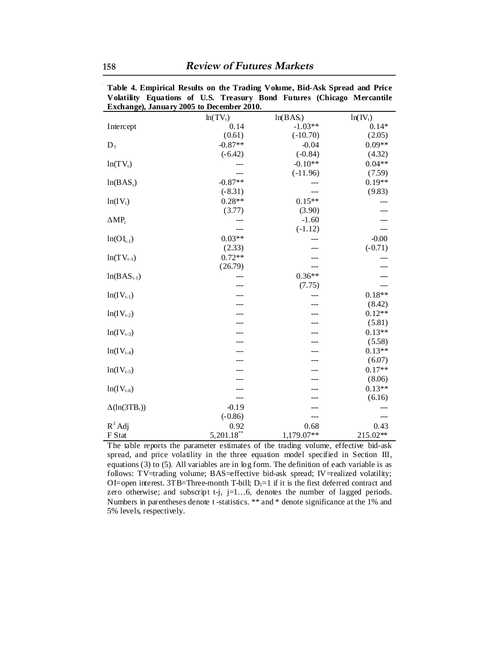|                      | <b>Exchange), January 2005 to December 2010.</b> |             |            |
|----------------------|--------------------------------------------------|-------------|------------|
|                      | $ln(TV_t)$                                       | $ln(BAS_t)$ | $ln(IV_t)$ |
| Intercept            | 0.14                                             | $-1.03**$   | $0.14*$    |
|                      | (0.61)                                           | $(-10.70)$  | (2.05)     |
| $D_1$                | $-0.87**$                                        | $-0.04$     | $0.09**$   |
|                      | $(-6.42)$                                        | $(-0.84)$   | (4.32)     |
| $ln(TV_t)$           |                                                  | $-0.10**$   | $0.04**$   |
|                      |                                                  | $(-11.96)$  | (7.59)     |
| $ln(BAS_t)$          | $-0.87**$                                        |             | $0.19**$   |
|                      | $(-8.31)$                                        |             | (9.83)     |
| $ln(IV_t)$           | $0.28**$                                         | $0.15**$    |            |
|                      | (3.77)                                           | (3.90)      |            |
| $\Delta MP_t$        |                                                  | $-1.60$     |            |
|                      | ---                                              | $(-1.12)$   |            |
| $ln(OI_{t-1})$       | $0.03**$                                         |             | $-0.00$    |
|                      | (2.33)                                           |             | $(-0.71)$  |
| $ln(TV_{t-1})$       | $0.72**$                                         |             |            |
|                      | (26.79)                                          |             |            |
| $ln(BAS_{t-1})$      |                                                  | $0.36**$    |            |
|                      |                                                  | (7.75)      |            |
| $ln(IV_{t-1})$       |                                                  |             | $0.18**$   |
|                      |                                                  |             | (8.42)     |
| $ln(IV_{t-2})$       |                                                  |             | $0.12**$   |
|                      |                                                  |             | (5.81)     |
| $ln(IV_{t-3})$       |                                                  |             | $0.13**$   |
|                      |                                                  |             | (5.58)     |
| $ln(IV_{t-4})$       |                                                  |             | $0.13**$   |
|                      |                                                  |             | (6.07)     |
| $ln(IV_{t-5})$       |                                                  |             | $0.17**$   |
|                      |                                                  |             | (8.06)     |
| $ln(IV_{t-6})$       |                                                  |             | $0.13**$   |
|                      | ---                                              |             | (6.16)     |
| $\Delta(\ln(3TB_t))$ | $-0.19$                                          |             |            |
|                      | $(-0.86)$                                        |             | $---$      |
| $R^2$ Adj            | 0.92                                             | 0.68        | 0.43       |
| F Stat               | $5,201.18***$                                    | 1,179.07**  | 215.02**   |

**Table 4. Empirical Results on the Trading Volume, Bid-Ask Spread and Price Volatility Equations of U.S. Treasury Bond Futures (Chicago Mercantile Exchange), January 2005 to December 2010.** 

The table reports the parameter estimates of the trading volume, effective bid-ask spread, and price volatility in the three equation model specified in Section III, equations (3) to (5). All variables are in log form. The definition of each variable is as follows: TV=trading volume; BAS=effective bid-ask spread; IV=realized volatility; OI=open interest. 3TB=Three-month T-bill;  $D_1=1$  if it is the first deferred contract and zero otherwise; and subscript t-j, j=1...6, denotes the number of lagged periods. Numbers in parentheses denote t -statistics. \*\* and \* denote significance at the 1% and 5% levels, respectively.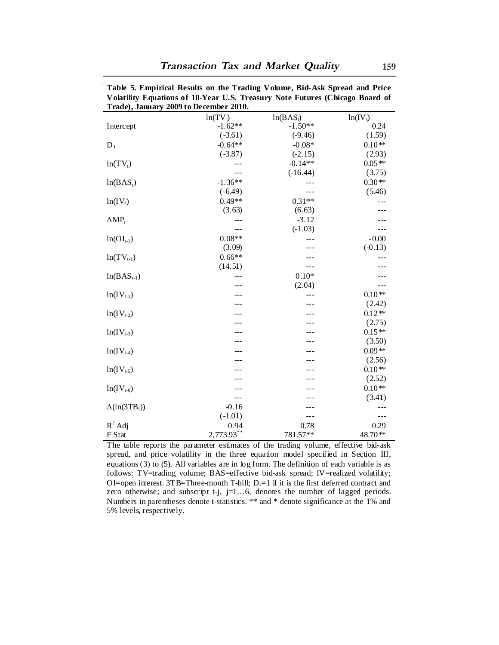| Trade), January 2009 to December 2010. |            |             |            |
|----------------------------------------|------------|-------------|------------|
|                                        | $ln(TV_t)$ | $ln(BAS_t)$ | $ln(IV_t)$ |
| Intercept                              | $-1.62**$  | $-1.50**$   | 0.24       |
|                                        | $(-3.61)$  | $(-9.46)$   | (1.59)     |
| $D_1$                                  | $-0.64**$  | $-0.08*$    | $0.10**$   |
|                                        | $(-3.87)$  | $(-2.15)$   | (2.93)     |
| $ln(TV_t)$                             |            | $-0.14**$   | $0.05**$   |
|                                        | ---        | $(-16.44)$  | (3.75)     |
| $ln(BAS_1)$                            | $-1.36**$  |             | $0.30**$   |
|                                        | $(-6.49)$  | $---$       | (5.46)     |
| $ln(IV_t)$                             | $0.49**$   | $0.31**$    | $---$      |
|                                        | (3.63)     | (6.63)      | ---        |
| $\triangle MP_t$                       | ---        | $-3.12$     |            |
|                                        |            | $(-1.03)$   | ---        |
| $ln(OI_{t-1})$                         | $0.08**$   | $---$       | $-0.00$    |
|                                        | (3.09)     |             | $(-0.13)$  |
| $ln(TV_{t-1})$                         | $0.66**$   |             | $ -$       |
|                                        | (14.51)    | ---         | - --       |
| $ln(BAS_{t-1})$                        |            | $0.10*$     |            |
|                                        |            | (2.04)      |            |
| $ln(IV_{t-1})$                         |            |             | $0.10**$   |
|                                        |            |             | (2.42)     |
| $ln(IV_{t-2})$                         |            |             | $0.12**$   |
|                                        |            |             | (2.75)     |
| $ln(IV_{t-3})$                         |            |             | $0.15**$   |
|                                        |            |             | (3.50)     |
| $ln(IV_{t-4})$                         |            |             | $0.09**$   |
|                                        |            |             | (2.56)     |
| $ln(IV_{t-5})$                         |            |             | $0.10**$   |
|                                        |            |             | (2.52)     |
| $ln(IV_{t-6})$                         | ---        | ---         | $0.10**$   |
|                                        | ---        |             | (3.41)     |
| $\Delta(\ln(3TB_t))$                   | $-0.16$    |             |            |
|                                        | $(-1.01)$  | ---         | ---        |
| $R^2$ Adj                              | 0.94       | 0.78        | 0.29       |
| F Stat                                 | 2,773.93** | 781.57**    | 48.70**    |

**Table 5. Empirical Results on the Trading Volume, Bid-Ask Spread and Price Volatility Equations of 10-Year U.S. Treasury Note Futures (Chicago Board of** 

The table reports the parameter estimates of the trading volume, effective bid-ask spread, and price volatility in the three equation model specified in Section III, equations (3) to (5). All variables are in log form. The definition of each variable is as follows: TV=trading volume; BAS=effective bid-ask spread; IV=realized volatility; OI=open interest. 3TB=Three-month T-bill;  $D_1=1$  if it is the first deferred contract and zero otherwise; and subscript t-j, j=1...6, denotes the number of lagged periods. Numbers in parentheses denote t-statistics. \*\* and \* denote significance at the 1% and 5% levels, respectively.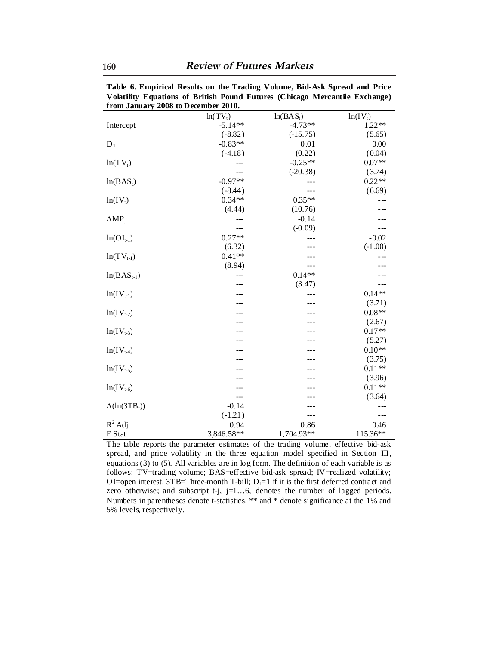|                      | from January 2008 to December 2010. |             |            |
|----------------------|-------------------------------------|-------------|------------|
|                      | $ln(TV_t)$                          | $ln(BAS_t)$ | $ln(IV_t)$ |
| Intercept            | $-5.14**$                           | $-4.73**$   | $1.22**$   |
|                      | $(-8.82)$                           | $(-15.75)$  | (5.65)     |
| $D_1$                | $-0.83**$                           | 0.01        | 0.00       |
|                      | $(-4.18)$                           | (0.22)      | (0.04)     |
| $ln(TV_t)$           |                                     | $-0.25**$   | $0.07**$   |
|                      |                                     | $(-20.38)$  | (3.74)     |
| $ln(BAS_t)$          | $-0.97**$                           |             | $0.22**$   |
|                      | $(-8.44)$                           |             | (6.69)     |
| $ln(IV_t)$           | $0.34**$                            | $0.35**$    | $- - -$    |
|                      | (4.44)                              | (10.76)     |            |
| $\Delta MP_t$        |                                     | $-0.14$     |            |
|                      | ---                                 | $(-0.09)$   | ---        |
| $ln(OI_{t-1})$       | $0.27**$                            |             | $-0.02$    |
|                      | (6.32)                              |             | $(-1.00)$  |
| $ln(TV_{t-1})$       | $0.41**$                            |             | ---        |
|                      | (8.94)                              | ---         |            |
| $ln(BAS_{t-1})$      | ---                                 | $0.14**$    |            |
|                      |                                     | (3.47)      |            |
| $ln(IV_{t-1})$       |                                     | ---         | $0.14**$   |
|                      |                                     |             | (3.71)     |
| $ln(IV_{t-2})$       |                                     |             | $0.08**$   |
|                      |                                     |             | (2.67)     |
| $ln(IV_{t-3})$       |                                     |             | $0.17**$   |
|                      |                                     |             | (5.27)     |
| $ln(IV_{t-4})$       |                                     |             | $0.10**$   |
|                      |                                     |             | (3.75)     |
| $ln(IV_{t-5})$       |                                     |             | $0.11**$   |
|                      |                                     |             | (3.96)     |
| $ln(IV_{t-6})$       |                                     | ---         | $0.11**$   |
|                      | ---                                 | ---         | (3.64)     |
| $\Delta(\ln(3TB_t))$ | $-0.14$                             |             |            |
|                      | $(-1.21)$                           | ---         | ---        |
| $R^2$ Adj            | 0.94                                | 0.86        | 0.46       |
| F Stat               | 3,846.58**                          | 1,704.93**  | 115.36**   |

**Table 6. Empirical Results on the Trading Volume, Bid-Ask Spread and Price Volatility Equations of British Pound Futures (Chicago Mercantile Exchange) from January 2008 to December 2010.**

The table reports the parameter estimates of the trading volume, effective bid-ask spread, and price volatility in the three equation model specified in Section III, equations (3) to (5). All variables are in log form. The definition of each variable is as follows: TV=trading volume; BAS=effective bid-ask spread; IV=realized volatility; OI=open interest. 3TB=Three-month T-bill;  $D_1=1$  if it is the first deferred contract and zero otherwise; and subscript t-j, j=1...6, denotes the number of lagged periods. Numbers in parentheses denote t-statistics. \*\* and \* denote significance at the 1% and 5% levels, respectively.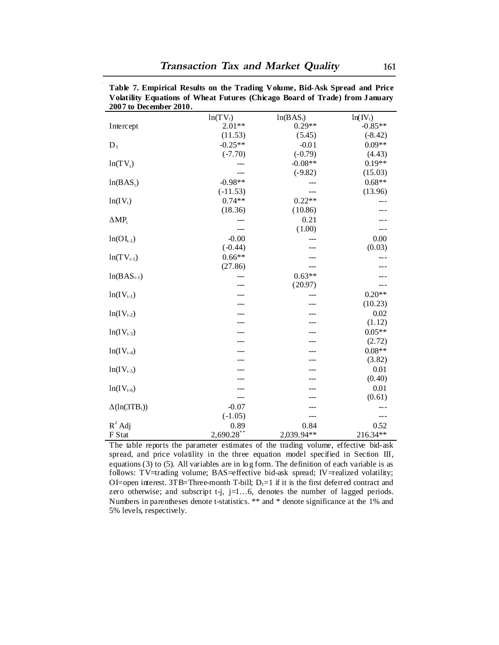| 2007 to December 2010. |               |             |            |
|------------------------|---------------|-------------|------------|
|                        | $ln(TV_t)$    | $ln(BAS_t)$ | $ln(IV_t)$ |
| Intercept              | $2.01**$      | $0.29**$    | $-0.85**$  |
|                        | (11.53)       | (5.45)      | $(-8.42)$  |
| $D_1$                  | $-0.25**$     | $-0.01$     | $0.09**$   |
|                        | $(-7.70)$     | $(-0.79)$   | (4.43)     |
| $ln(TV_t)$             |               | $-0.08**$   | $0.19**$   |
|                        |               | $(-9.82)$   | (15.03)    |
| $ln(BAS_t)$            | $-0.98**$     |             | $0.68**$   |
|                        | $(-11.53)$    | ---         | (13.96)    |
| $ln(IV_t)$             | $0.74**$      | $0.22**$    |            |
|                        | (18.36)       | (10.86)     |            |
| $\Delta MP_t$          |               | 0.21        |            |
|                        | ---           | (1.00)      | ---        |
| $ln(OI_{t-1})$         | $-0.00$       |             | 0.00       |
|                        | $(-0.44)$     |             | (0.03)     |
| $ln(TV_{t-1})$         | $0.66**$      |             |            |
|                        | (27.86)       |             |            |
| $ln(BAS_{t-1})$        |               | $0.63**$    |            |
|                        |               | (20.97)     |            |
| $ln(IV_{t-1})$         |               |             | $0.20**$   |
|                        |               |             | (10.23)    |
| $ln(IV_{t-2})$         |               |             | 0.02       |
|                        |               |             | (1.12)     |
| $ln(IV_{t-3})$         |               |             | $0.05**$   |
|                        |               |             | (2.72)     |
| $ln(IV_{t-4})$         |               |             | $0.08**$   |
|                        |               |             | (3.82)     |
| $ln(IV_{t-5})$         |               |             | 0.01       |
|                        |               |             | (0.40)     |
| $ln(IV_{t-6})$         |               |             | 0.01       |
|                        |               |             | (0.61)     |
| $\Delta(\ln(3TB_t))$   | $-0.07$       |             | ---        |
|                        | $(-1.05)$     | ---         | ---        |
| $R^2$ Adj              | 0.89          | 0.84        | 0.52       |
| F Stat                 | $2,690.28$ ** | 2,039.94**  | 216.34**   |

**Table 7. Empirical Results on the Trading Volume, Bid-Ask Spread and Price Volatility Equations of Wheat Futures (Chicago Board of Trade) from January** 

The table reports the parameter estimates of the trading volume, effective bid-ask spread, and price volatility in the three equation model specified in Section III, equations (3) to (5). All variables are in log form. The definition of each variable is as follows: TV=trading volume; BAS=effective bid-ask spread; IV=realized volatility; OI=open interest. 3TB=Three-month T-bill;  $D_1=1$  if it is the first deferred contract and zero otherwise; and subscript  $t-j$ ,  $j=1...6$ , denotes the number of lagged periods. Numbers in parentheses denote t-statistics. \*\* and \* denote significance at the 1% and 5% levels, respectively.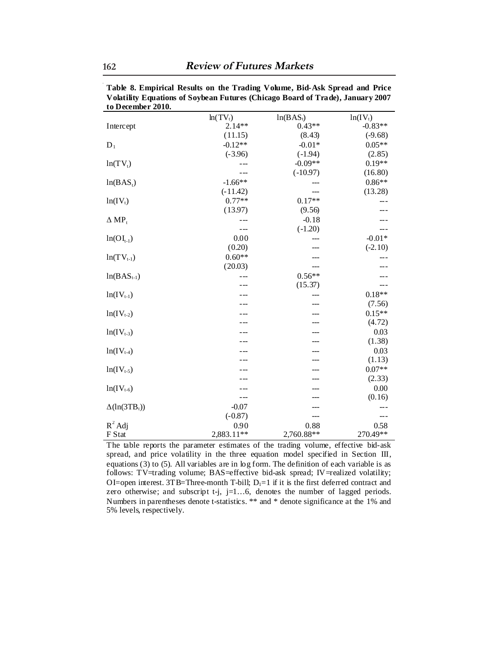| to Detember 2010.   |            |             |            |
|---------------------|------------|-------------|------------|
|                     | $ln(TV_t)$ | $ln(BAS_t)$ | $ln(IV_t)$ |
| Intercept           | $2.14**$   | $0.43**$    | $-0.83**$  |
|                     | (11.15)    | (8.43)      | $(-9.68)$  |
| $D_1$               | $-0.12**$  | $-0.01*$    | $0.05**$   |
|                     | $(-3.96)$  | $(-1.94)$   | (2.85)     |
| $ln(TV_t)$          |            | $-0.09**$   | $0.19**$   |
|                     |            | $(-10.97)$  | (16.80)    |
| $ln(BAS_t)$         | $-1.66**$  |             | $0.86**$   |
|                     | $(-11.42)$ |             | (13.28)    |
| $ln(IV_t)$          | $0.77**$   | $0.17**$    |            |
|                     | (13.97)    | (9.56)      |            |
| $\Delta MP_t$       |            | $-0.18$     |            |
|                     |            | $(-1.20)$   |            |
| $ln(OI_{t-1})$      | 0.00       |             | $-0.01*$   |
|                     | (0.20)     | ---         | $(-2.10)$  |
| $ln(TV_{t-1})$      | $0.60**$   |             |            |
|                     | (20.03)    |             |            |
| $ln(BAS_{t-1})$     |            | $0.56**$    |            |
|                     |            | (15.37)     |            |
| $ln(IV_{t-1})$      |            |             | $0.18**$   |
|                     |            |             | (7.56)     |
| $ln(IV_{t-2})$      |            |             | $0.15**$   |
|                     |            |             | (4.72)     |
| $ln(IV_{t-3})$      |            |             | 0.03       |
|                     |            |             | (1.38)     |
| $ln(IV_{t-4})$      |            |             | 0.03       |
|                     |            |             | (1.13)     |
| $ln(IV_{t-5})$      |            |             | $0.07**$   |
|                     |            |             | (2.33)     |
| $ln(IV_{t-6})$      |            |             | 0.00       |
|                     |            |             | (0.16)     |
| $\Delta(ln(3TB_t))$ | $-0.07$    |             |            |
|                     | $(-0.87)$  |             | ---        |
| $R^2$ Adj           | 0.90       | 0.88        | 0.58       |
| F Stat              | 2,883.11** | 2,760.88**  | 270.49**   |

**Table 8. Empirical Results on the Trading Volume, Bid-Ask Spread and Price Volatility Equations of Soybean Futures (Chicago Board of Trade), January 2007 to December 2010.**

The table reports the parameter estimates of the trading volume, effective bid-ask spread, and price volatility in the three equation model specified in Section III, equations (3) to (5). All variables are in log form. The definition of each variable is as follows: TV=trading volume; BAS=effective bid-ask spread; IV=realized volatility; OI=open interest. 3TB=Three-month T-bill;  $D_1=1$  if it is the first deferred contract and zero otherwise; and subscript t-j, j=1...6, denotes the number of lagged periods. Numbers in parentheses denote t-statistics. \*\* and \* denote significance at the 1% and 5% levels, respectively.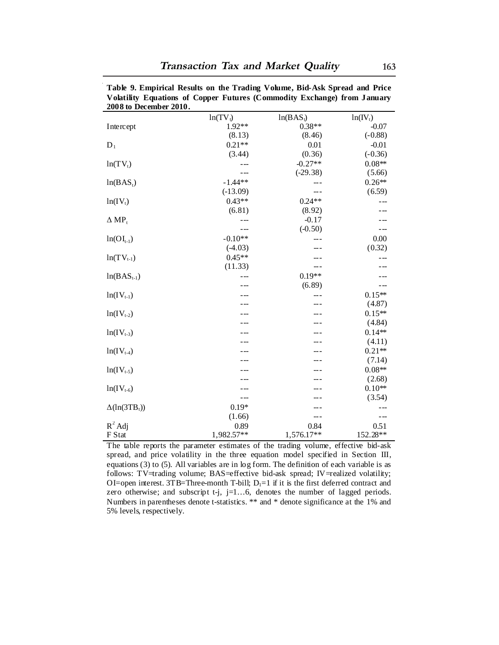| 2008 to December 2010. |            |             |            |
|------------------------|------------|-------------|------------|
|                        | $ln(TV_t)$ | $ln(BAS_t)$ | $ln(IV_t)$ |
| Intercept              | 1.92**     | $0.38**$    | $-0.07$    |
|                        | (8.13)     | (8.46)      | $(-0.88)$  |
| $D_1$                  | $0.21**$   | 0.01        | $-0.01$    |
|                        | (3.44)     | (0.36)      | $(-0.36)$  |
| $ln(TV_t)$             |            | $-0.27**$   | $0.08**$   |
|                        |            | $(-29.38)$  | (5.66)     |
| $ln(BAS_1)$            | $-1.44**$  |             | $0.26**$   |
|                        | $(-13.09)$ | ---         | (6.59)     |
| $ln(IV_t)$             | $0.43**$   | $0.24**$    |            |
|                        | (6.81)     | (8.92)      |            |
| $\Delta MP_t$          |            | $-0.17$     |            |
|                        |            | $(-0.50)$   | ---        |
| $ln(OI_{t-1})$         | $-0.10**$  |             | 0.00       |
|                        | $(-4.03)$  | ---         | (0.32)     |
| $ln(TV_{t-1})$         | $0.45**$   |             |            |
|                        | (11.33)    | ---         |            |
| $ln(BAS_{t-1})$        |            | $0.19**$    |            |
|                        |            | (6.89)      |            |
| $ln(IV_{t-1})$         |            | ---         | $0.15**$   |
|                        |            | ---         | (4.87)     |
| $ln(IV_{t-2})$         |            |             | $0.15**$   |
|                        |            |             | (4.84)     |
| $ln(IV_{t-3})$         |            |             | $0.14**$   |
|                        |            |             | (4.11)     |
| $ln(IV_{t-4})$         |            |             | $0.21**$   |
|                        |            |             | (7.14)     |
| $ln(IV_{t-5})$         |            |             | $0.08**$   |
|                        |            |             | (2.68)     |
| $ln(IV_{t-6})$         |            |             | $0.10**$   |
|                        |            |             | (3.54)     |
| $\Delta(ln(3TB_t))$    | $0.19*$    |             | $---$      |
|                        | (1.66)     | ---         | $---$      |
| $R^2$ Adj              | 0.89       | 0.84        | 0.51       |
| F Stat                 | 1,982.57** | 1,576.17**  | 152.28**   |

**Table 9. Empirical Results on the Trading Volume, Bid-Ask Spread and Price Volatility Equations of Copper Futures (Commodity Exchange) from January** 

The table reports the parameter estimates of the trading volume, effective bid-ask spread, and price volatility in the three equation model specified in Section III, equations (3) to (5). All variables are in log form. The definition of each variable is as follows: TV=trading volume; BAS=effective bid-ask spread; IV=realized volatility; OI=open interest. 3TB=Three-month T-bill;  $D_1=1$  if it is the first deferred contract and zero otherwise; and subscript t-j, j=1...6, denotes the number of lagged periods. Numbers in parentheses denote t-statistics. \*\* and \* denote significance at the 1% and 5% levels, respectively.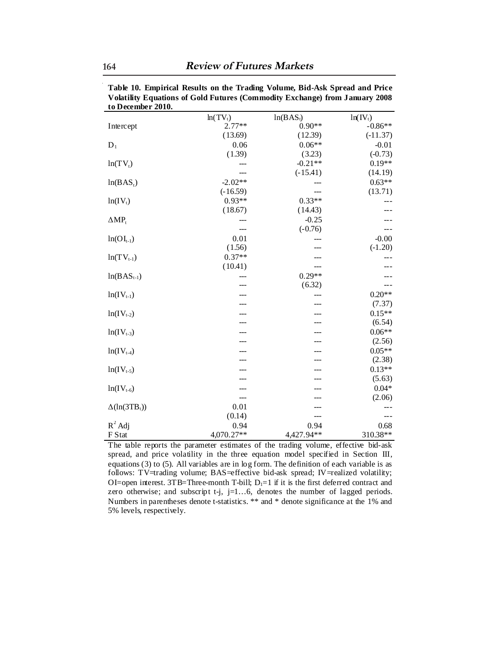| to Ductinuti 2010.   |            |             |            |
|----------------------|------------|-------------|------------|
|                      | $ln(TV_t)$ | $ln(BAS_t)$ | $ln(IV_t)$ |
| Intercept            | $2.77**$   | $0.90**$    | $-0.86**$  |
|                      | (13.69)    | (12.39)     | $(-11.37)$ |
| $D_1$                | 0.06       | $0.06**$    | $-0.01$    |
|                      | (1.39)     | (3.23)      | $(-0.73)$  |
| $ln(TV_t)$           |            | $-0.21**$   | $0.19**$   |
|                      |            | $(-15.41)$  | (14.19)    |
| $ln(BAS_t)$          | $-2.02**$  |             | $0.63**$   |
|                      | $(-16.59)$ |             | (13.71)    |
| $ln(IV_t)$           | $0.93**$   | $0.33**$    |            |
|                      | (18.67)    | (14.43)     |            |
| $\Delta MP_t$        |            | $-0.25$     |            |
|                      | ---        | $(-0.76)$   |            |
| $ln(OI_{t-1})$       | 0.01       |             | $-0.00$    |
|                      | (1.56)     | ---         | $(-1.20)$  |
| $ln(TV_{t-1})$       | $0.37**$   |             |            |
|                      | (10.41)    |             |            |
| $ln(BAS_{t-1})$      |            | $0.29**$    | ---        |
|                      |            | (6.32)      |            |
| $ln(IV_{t-1})$       |            |             | $0.20**$   |
|                      |            |             | (7.37)     |
| $ln(IV_{t-2})$       |            |             | $0.15**$   |
|                      |            |             | (6.54)     |
| $ln(IV_{t-3})$       |            |             | $0.06**$   |
|                      |            |             | (2.56)     |
| $ln(IV_{t-4})$       |            |             | $0.05**$   |
|                      |            |             | (2.38)     |
| $ln(IV_{t-5})$       |            |             | $0.13**$   |
|                      |            |             | (5.63)     |
| $ln(IV_{t-6})$       |            |             | $0.04*$    |
|                      | ---        |             | (2.06)     |
| $\Delta(\ln(3TB_t))$ | 0.01       |             |            |
|                      | (0.14)     |             |            |
| $R^2$ Adj            | 0.94       | 0.94        | 0.68       |
| F Stat               | 4,070.27** | 4,427.94**  | 310.38**   |

**Table 10. Empirical Results on the Trading Volume, Bid-Ask Spread and Price Volatility Equations of Gold Futures (Commodity Exchange) from January 2008 to December 2010.**

The table reports the parameter estimates of the trading volume, effective bid-ask spread, and price volatility in the three equation model specified in Section III, equations (3) to (5). All variables are in log form. The definition of each variable is as follows: TV=trading volume; BAS=effective bid-ask spread; IV=realized volatility; OI=open interest. 3TB=Three-month T-bill;  $D_1=1$  if it is the first deferred contract and zero otherwise; and subscript t-j, j=1...6, denotes the number of lagged periods. Numbers in parentheses denote t-statistics. \*\* and \* denote significance at the 1% and 5% levels, respectively.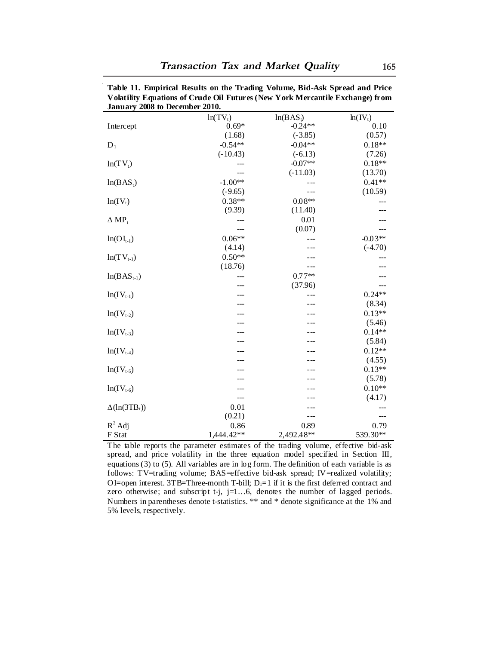| January 2008 to December 2010. |            |             |            |
|--------------------------------|------------|-------------|------------|
|                                | $ln(TV_t)$ | $ln(BAS_t)$ | $ln(IV_t)$ |
| Intercept                      | $0.69*$    | $-0.24**$   | 0.10       |
|                                | (1.68)     | $(-3.85)$   | (0.57)     |
| $D_1$                          | $-0.54**$  | $-0.04**$   | $0.18**$   |
|                                | $(-10.43)$ | $(-6.13)$   | (7.26)     |
| $ln(TV_t)$                     |            | $-0.07**$   | $0.18**$   |
|                                | ---        | $(-11.03)$  | (13.70)    |
| $ln(BAS_t)$                    | $-1.00**$  | ---         | $0.41**$   |
|                                | $(-9.65)$  | $ -$        | (10.59)    |
| $ln(IV_t)$                     | $0.38**$   | $0.08**$    |            |
|                                | (9.39)     | (11.40)     |            |
| $\Delta MP_t$                  |            | 0.01        |            |
|                                | ---        | (0.07)      |            |
| $ln(OI_{t-1})$                 | $0.06**$   |             | $-0.03**$  |
|                                | (4.14)     |             | $(-4.70)$  |
| $ln(TV_{t-1})$                 | $0.50**$   |             |            |
|                                | (18.76)    |             |            |
| $ln(BAS_{t-1})$                |            | $0.77**$    |            |
|                                |            | (37.96)     |            |
| $ln(IV_{t-1})$                 | ---        |             | $0.24**$   |
|                                |            |             | (8.34)     |
| $ln(IV_{t-2})$                 |            |             | $0.13**$   |
|                                |            |             | (5.46)     |
| $ln(IV_{t-3})$                 |            |             | $0.14**$   |
|                                |            |             | (5.84)     |
| $ln(IV_{t-4})$                 |            |             | $0.12**$   |
|                                |            |             | (4.55)     |
| $ln(IV_{t-5})$                 |            |             | $0.13**$   |
|                                |            |             | (5.78)     |
| $ln(IV_{t-6})$                 |            |             | $0.10**$   |
|                                |            |             | (4.17)     |
| $\Delta(ln(3TB_t))$            | 0.01       |             |            |
|                                | (0.21)     | ---         |            |
| $R^2$ Adj                      | 0.86       | 0.89        | 0.79       |
| F Stat                         | 1,444.42** | 2,492.48**  | 539.30**   |

**Table 11. Empirical Results on the Trading Volume, Bid-Ask Spread and Price Volatility Equations of Crude Oil Futures (New York Mercantile Exchange) from** 

The table reports the parameter estimates of the trading volume, effective bid-ask spread, and price volatility in the three equation model specified in Section III, equations (3) to (5). All variables are in log form. The definition of each variable is as follows: TV=trading volume; BAS=effective bid-ask spread; IV=realized volatility; OI=open interest. 3TB=Three-month T-bill;  $D_1=1$  if it is the first deferred contract and zero otherwise; and subscript t-j, j=1...6, denotes the number of lagged periods. Numbers in parentheses denote t-statistics. \*\* and \* denote significance at the 1% and 5% levels, respectively.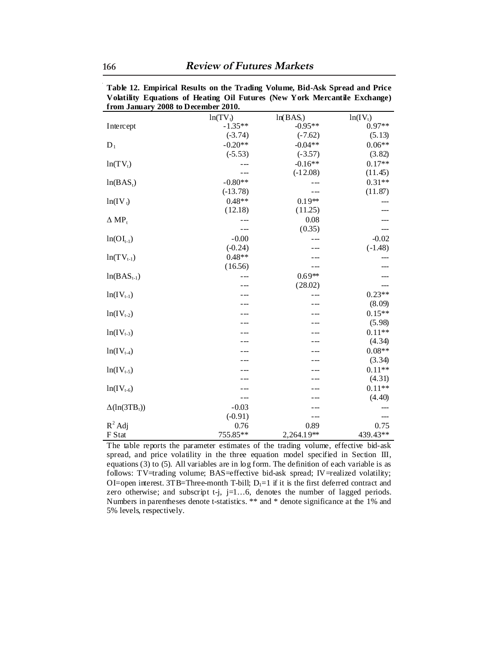|                      | rrom January 2008 to December 2010. |             |            |
|----------------------|-------------------------------------|-------------|------------|
|                      | $ln(TV_t)$                          | $ln(BAS_t)$ | $ln(IV_t)$ |
| Intercept            | $-1.35**$                           | $-0.95**$   | $0.97**$   |
|                      | $(-3.74)$                           | $(-7.62)$   | (5.13)     |
| $D_1$                | $-0.20**$                           | $-0.04**$   | $0.06**$   |
|                      | $(-5.53)$                           | $(-3.57)$   | (3.82)     |
| $ln(TV_t)$           |                                     | $-0.16**$   | $0.17**$   |
|                      |                                     | $(-12.08)$  | (11.45)    |
| $ln(BAS_t)$          | $-0.80**$                           |             | $0.31**$   |
|                      | $(-13.78)$                          |             | (11.87)    |
| $ln(IV_t)$           | $0.48**$                            | $0.19**$    |            |
|                      | (12.18)                             | (11.25)     |            |
| $\Delta MP_t$        |                                     | 0.08        |            |
|                      | $ -$                                | (0.35)      |            |
| $ln(OI_{t-1})$       | $-0.00$                             |             | $-0.02$    |
|                      | $(-0.24)$                           |             | $(-1.48)$  |
| $ln(TV_{t-1})$       | $0.48**$                            |             |            |
|                      | (16.56)                             |             |            |
| $ln(BAS_{t-1})$      |                                     | $0.69**$    |            |
|                      |                                     | (28.02)     |            |
| $ln(IV_{t-1})$       |                                     | ---         | $0.23**$   |
|                      |                                     |             | (8.09)     |
| $ln(IV_{t-2})$       |                                     |             | $0.15**$   |
|                      |                                     |             | (5.98)     |
| $ln(IV_{t-3})$       |                                     |             | $0.11**$   |
|                      |                                     |             | (4.34)     |
| $ln(IV_{t-4})$       |                                     |             | $0.08**$   |
|                      |                                     |             | (3.34)     |
| $ln(IV_{t-5})$       |                                     |             | $0.11**$   |
|                      |                                     |             | (4.31)     |
| $ln(IV_{t-6})$       |                                     |             | $0.11**$   |
|                      |                                     |             | (4.40)     |
| $\Delta(\ln(3TB_t))$ | $-0.03$                             |             |            |
|                      | $(-0.91)$                           | - --        | ---        |
| $R^2$ Adj            | 0.76                                | 0.89        | 0.75       |
| F Stat               | 755.85**                            | 2,264.19**  | 439.43**   |

**Table 12. Empirical Results on the Trading Volume, Bid-Ask Spread and Price Volatility Equations of Heating Oil Futures (New York Mercantile Exchange) from January 2008 to December 2010.**

The table reports the parameter estimates of the trading volume, effective bid-ask spread, and price volatility in the three equation model specified in Section III, equations (3) to (5). All variables are in log form. The definition of each variable is as follows: TV=trading volume; BAS=effective bid-ask spread; IV=realized volatility; OI=open interest. 3TB=Three-month T-bill;  $D_1=1$  if it is the first deferred contract and zero otherwise; and subscript t-j, j=1...6, denotes the number of lagged periods. Numbers in parentheses denote t-statistics. \*\* and \* denote significance at the 1% and 5% levels, respectively.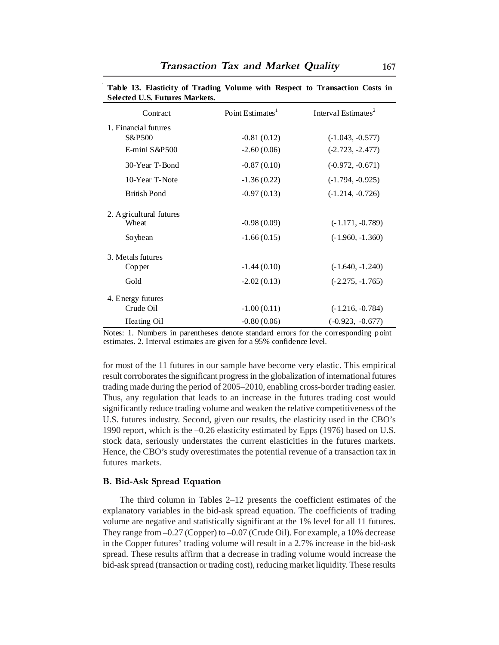| Selected U.S. Futures Markets. |                              |                                 |
|--------------------------------|------------------------------|---------------------------------|
| Contract                       | Point Estimates <sup>1</sup> | Interval Estimates <sup>2</sup> |
| 1. Financial futures           |                              |                                 |
| S&P500                         | $-0.81(0.12)$                | $(-1.043, -0.577)$              |
| E-mini S&P500                  | $-2.60(0.06)$                | $(-2.723, -2.477)$              |
| 30-Year T-Bond                 | $-0.87(0.10)$                | $(-0.972, -0.671)$              |
| 10-Year T-Note                 | $-1.36(0.22)$                | $(-1.794, -0.925)$              |
| <b>British Pond</b>            | $-0.97(0.13)$                | $(-1.214, -0.726)$              |
| 2. Agricultural futures        |                              |                                 |
| Wheat                          | $-0.98(0.09)$                | $(-1.171, -0.789)$              |
| So ybe an                      | $-1.66(0.15)$                | $(-1.960, -1.360)$              |
| 3. Metals futures              |                              |                                 |
| Copper                         | $-1.44(0.10)$                | $(-1.640, -1.240)$              |
| Gold                           | $-2.02(0.13)$                | $(-2.275, -1.765)$              |
| 4. Energy futures              |                              |                                 |
| Crude Oil                      | $-1.00(0.11)$                | $(-1.216, -0.784)$              |
| Heating Oil                    | $-0.80(0.06)$                | $(-0.923, -0.677)$              |

**Table 13. Elasticity of Trading Volume with Respect to Transaction Costs in Selected U.S. Futures Markets.**

Notes: 1. Numbers in parentheses denote standard errors for the corresponding point estimates. 2. Interval estimates are given for a 95% confidence level.

for most of the 11 futures in our sample have become very elastic. This empirical result corroborates the significant progress in the globalization of international futures trading made during the period of 2005–2010, enabling cross-border trading easier. Thus, any regulation that leads to an increase in the futures trading cost would significantly reduce trading volume and weaken the relative competitiveness of the U.S. futures industry. Second, given our results, the elasticity used in the CBO's 1990 report, which is the –0.26 elasticity estimated by Epps (1976) based on U.S. stock data, seriously understates the current elasticities in the futures markets. Hence, the CBO's study overestimates the potential revenue of a transaction tax in futures markets.

#### **B. Bid-Ask Spread Equation**

The third column in Tables 2–12 presents the coefficient estimates of the explanatory variables in the bid-ask spread equation. The coefficients of trading volume are negative and statistically significant at the 1% level for all 11 futures. They range from –0.27 (Copper) to –0.07 (Crude Oil). For example, a 10% decrease in the Copper futures' trading volume will result in a 2.7% increase in the bid-ask spread. These results affirm that a decrease in trading volume would increase the bid-ask spread (transaction or trading cost), reducing market liquidity. These results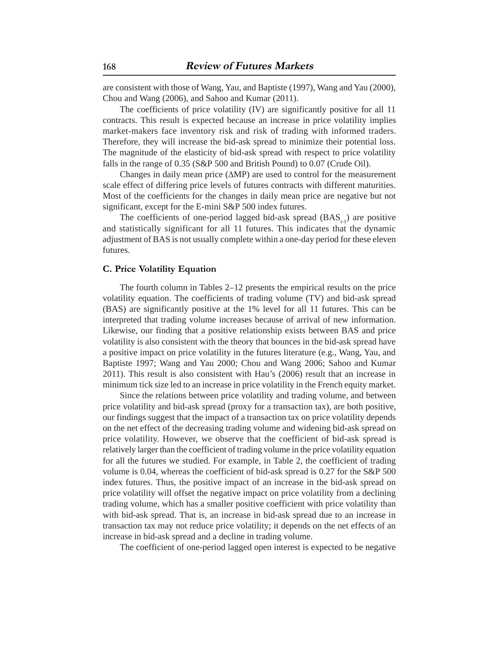are consistent with those of Wang, Yau, and Baptiste (1997), Wang and Yau (2000), Chou and Wang (2006), and Sahoo and Kumar (2011).

The coefficients of price volatility (IV) are significantly positive for all 11 contracts. This result is expected because an increase in price volatility implies market-makers face inventory risk and risk of trading with informed traders. Therefore, they will increase the bid-ask spread to minimize their potential loss. The magnitude of the elasticity of bid-ask spread with respect to price volatility falls in the range of 0.35 (S&P 500 and British Pound) to 0.07 (Crude Oil).

Changes in daily mean price (∆MP) are used to control for the measurement scale effect of differing price levels of futures contracts with different maturities. Most of the coefficients for the changes in daily mean price are negative but not significant, except for the E-mini S&P 500 index futures.

The coefficients of one-period lagged bid-ask spread  $(BAS<sub>1</sub>)$  are positive and statistically significant for all 11 futures. This indicates that the dynamic adjustment of BAS is not usually complete within a one-day period for these eleven futures.

# **C. Price Volatility Equation**

The fourth column in Tables 2–12 presents the empirical results on the price volatility equation. The coefficients of trading volume (TV) and bid-ask spread (BAS) are significantly positive at the 1% level for all 11 futures. This can be interpreted that trading volume increases because of arrival of new information. Likewise, our finding that a positive relationship exists between BAS and price volatility is also consistent with the theory that bounces in the bid-ask spread have a positive impact on price volatility in the futures literature (e.g., Wang, Yau, and Baptiste 1997; Wang and Yau 2000; Chou and Wang 2006; Sahoo and Kumar 2011). This result is also consistent with Hau's (2006) result that an increase in minimum tick size led to an increase in price volatility in the French equity market.

Since the relations between price volatility and trading volume, and between price volatility and bid-ask spread (proxy for a transaction tax), are both positive, our findings suggest that the impact of a transaction tax on price volatility depends on the net effect of the decreasing trading volume and widening bid-ask spread on price volatility. However, we observe that the coefficient of bid-ask spread is relatively larger than the coefficient of trading volume in the price volatility equation for all the futures we studied. For example, in Table 2, the coefficient of trading volume is 0.04, whereas the coefficient of bid-ask spread is 0.27 for the S&P 500 index futures. Thus, the positive impact of an increase in the bid-ask spread on price volatility will offset the negative impact on price volatility from a declining trading volume, which has a smaller positive coefficient with price volatility than with bid-ask spread. That is, an increase in bid-ask spread due to an increase in transaction tax may not reduce price volatility; it depends on the net effects of an increase in bid-ask spread and a decline in trading volume.

The coefficient of one-period lagged open interest is expected to be negative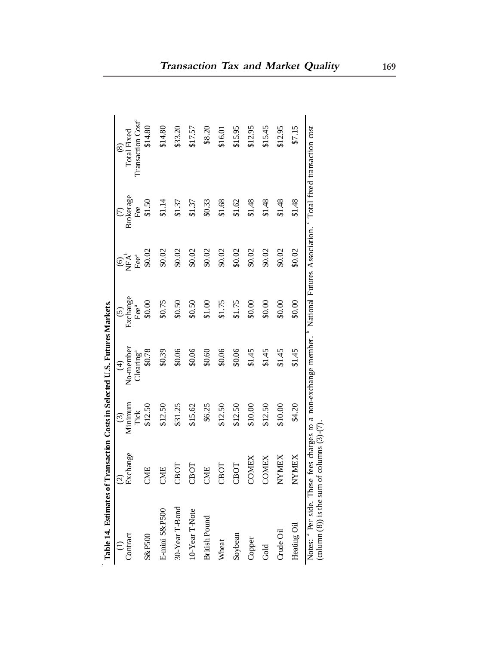| Table 14. Estimates of Transaction Costs in Selected U.S. Futures Markets.                                                                                                                                           | $\widehat{\varrho}$ | $\widehat{c}$   | $\bigoplus$                        | $\tilde{c}$                   |                                                               |                  | $\circledast$                                |
|----------------------------------------------------------------------------------------------------------------------------------------------------------------------------------------------------------------------|---------------------|-----------------|------------------------------------|-------------------------------|---------------------------------------------------------------|------------------|----------------------------------------------|
| Contract                                                                                                                                                                                                             | Exchange            | Minimum<br>Tick | No-member<br>Clearing <sup>a</sup> | Exchange<br>$\mathrm{F}e^{a}$ | $\overbrace{\text{H}^{\text{A}}_{\text{E}^{\text{B}}}}^{(6)}$ | Brokerage<br>Fee | Transaction Cost <sup>e</sup><br>Total Fixed |
| S&P500                                                                                                                                                                                                               | CME                 | \$12.50         | \$0.78                             | \$0.00                        | \$0.02                                                        | \$1.50           | \$14.80                                      |
| E-mini S&P500                                                                                                                                                                                                        | CME                 | \$12.50         | \$0.39                             | \$0.75                        | \$0.02                                                        | \$1.14           | \$14.80                                      |
| 30-Year T-Bond                                                                                                                                                                                                       | CBOT                | \$31.25         | \$0.06                             | \$0.50                        | \$0.02                                                        | \$1.37           | \$33.20                                      |
| 10-Year T-Note                                                                                                                                                                                                       | CBOT                | \$15.62         | \$0.06                             | \$0.50                        | \$0.02                                                        | \$1.37           | \$17.57                                      |
| <b>British Pound</b>                                                                                                                                                                                                 | CME                 | \$6.25          | \$0.60                             | \$1.00                        | \$0.02                                                        | \$0.33           | \$8.20                                       |
| Wheat                                                                                                                                                                                                                | CBOT                | \$12.50         | \$0.06                             | \$1.75                        | \$0.02                                                        | \$1.68           | \$16.01                                      |
| Soybean                                                                                                                                                                                                              | CBOT                | \$12.50         | \$0.06                             | \$1.75                        | \$0.02                                                        | \$1.62           | \$15.95                                      |
| Copper                                                                                                                                                                                                               | COMEX               | \$10.00         | \$1.45                             | \$0.00                        | \$0.02                                                        | \$1.48           | \$12.95                                      |
| Gold                                                                                                                                                                                                                 | COMEX               | \$12.50         | \$1.45                             | \$0.00                        | \$0.02                                                        | \$1.48           | \$15.45                                      |
| Crude Oil                                                                                                                                                                                                            | NYMEX               | \$10.00         | \$1.45                             | \$0.00                        | \$0.02                                                        | \$1.48           | \$12.95                                      |
| Heating Oil                                                                                                                                                                                                          | NYMEX               | \$4.20          | \$1.45                             | \$0.00                        | \$0.02                                                        | \$1.48           | \$7.15                                       |
| Notes: <sup>4</sup> Per side. These fees charges to a non-exchange member. <sup>b</sup> National Futures Association. <sup>6</sup> Total fixed transaction cost<br>(column $(8)$ ) is the sum of columns $(3)-(7)$ . |                     |                 |                                    |                               |                                                               |                  |                                              |

|                                                   | ì |
|---------------------------------------------------|---|
| $T_1 \subseteq T_{n+1}$<br>יים המוז               | j |
| ie in Se<br>l<br>i<br>S<br>Š<br>ζ                 | ١ |
| ļ<br>$\frac{1}{2}$<br>$\sim$ $\sim$ $\sim$ $\sim$ | ¢ |
| J<br>i                                            |   |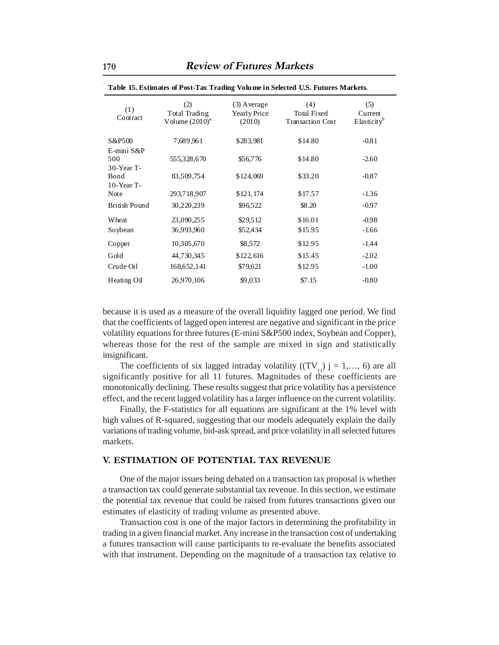| (1)<br>Contract                    | (2)<br>Total Trading<br>Volume $(2010)^a$ | $(3)$ Average<br>Yearly Price<br>(2010) | (4)<br><b>Total Fixed</b><br><b>Transaction Cost</b> | (5)<br>Current<br>Elasticity <sup>b</sup> |
|------------------------------------|-------------------------------------------|-----------------------------------------|------------------------------------------------------|-------------------------------------------|
| S&P500                             | 7,689,961                                 | \$283,981                               | \$14.80                                              | $-0.81$                                   |
| E-mini S&P<br>500<br>$30$ -Year T- | 555,328,670                               | \$56,776                                | \$14.80                                              | $-2.60$                                   |
| Bond<br>$10$ -Year T-              | 83,509,754                                | \$124,069                               | \$33.20                                              | $-0.87$                                   |
| Note                               | 293,718,907                               | \$121,174                               | \$17.57                                              | $-1.36$                                   |
| British Pound                      | 30,220,239                                | \$96,522                                | \$8.20                                               | $-0.97$                                   |
| Wheat                              | 23,090,255                                | \$29,512                                | \$16.01                                              | $-0.98$                                   |
| Soybean                            | 36,993,960                                | \$52,434                                | \$15.95                                              | $-1.66$                                   |
| Copper                             | 10,305,670                                | \$8,572                                 | \$12.95                                              | $-1.44$                                   |
| Gold                               | 44,730,345                                | \$122,616                               | \$15.45                                              | $-2.02$                                   |
| Crude Oil                          | 168,652,141                               | \$79,621                                | \$12.95                                              | $-1.00$                                   |
| Heating Oil                        | 26,970,106                                | \$9,033                                 | \$7.15                                               | $-0.80$                                   |

**Table 15. Estimates of Post-Tax Trading Volume in Selected U.S. Futures Markets.** 

because it is used as a measure of the overall liquidity lagged one period. We find that the coefficients of lagged open interest are negative and significant in the price volatility equations for three futures (E-mini S&P500 index, Soybean and Copper), whereas those for the rest of the sample are mixed in sign and statistically insignificant.

The coefficients of six lagged intraday volatility ( $(TV_{t-1})$ ) j = 1,..., 6) are all significantly positive for all 11 futures. Magnitudes of these coefficients are monotonically declining. These results suggest that price volatility has a persistence effect, and the recent lagged volatility has a larger influence on the current volatility.

Finally, the F-statistics for all equations are significant at the 1% level with high values of R-squared, suggesting that our models adequately explain the daily variations of trading volume, bid-ask spread, and price volatility in all selected futures markets.

## **V. ESTIMATION OF POTENTIAL TAX REVENUE**

One of the major issues being debated on a transaction tax proposal is whether a transaction tax could generate substantial tax revenue. In this section, we estimate the potential tax revenue that could be raised from futures transactions given our estimates of elasticity of trading volume as presented above.

Transaction cost is one of the major factors in determining the profitability in trading in a given financial market. Any increase in the transaction cost of undertaking a futures transaction will cause participants to re-evaluate the benefits associated with that instrument. Depending on the magnitude of a transaction tax relative to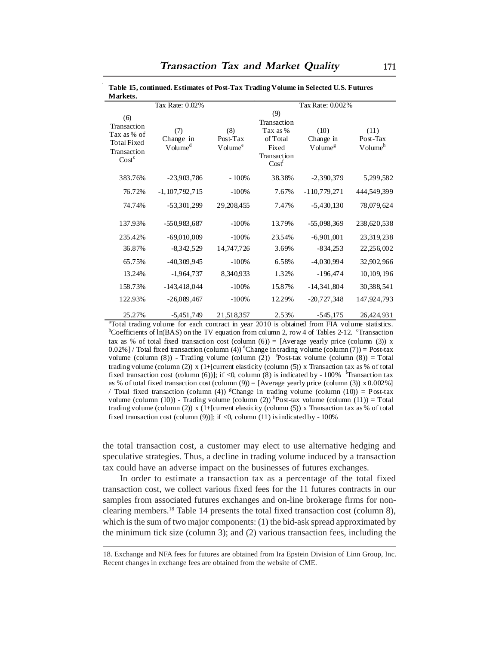| Markets.                                                                                    |                                                            |                                        |                                                                                              |                                                              |                                         |
|---------------------------------------------------------------------------------------------|------------------------------------------------------------|----------------------------------------|----------------------------------------------------------------------------------------------|--------------------------------------------------------------|-----------------------------------------|
| (6)<br>Transaction<br>Tax as % of<br><b>Total Fixed</b><br>Transaction<br>Cost <sup>c</sup> | Tax Rate: 0.02%<br>(7)<br>Change in<br>Volume <sup>d</sup> | (8)<br>Post-Tax<br>Volume <sup>e</sup> | (9)<br><b>Transaction</b><br>Tax as %<br>of Total<br>Fixed<br>Transaction<br>$\text{Cost}^t$ | Tax Rate: 0.002%<br>(10)<br>Change in<br>Volume <sup>g</sup> | (11)<br>Post-Tax<br>Volume <sup>h</sup> |
| 383.76%                                                                                     | $-23,903,786$                                              | $-100%$                                | 38.38%                                                                                       | $-2,390,379$                                                 | 5,299,582                               |
| 76.72%                                                                                      | $-1, 107, 792, 715$                                        | $-100%$                                | 7.67%                                                                                        | $-110,779,271$                                               | 444,549,399                             |
| 74.74%                                                                                      | -53,301,299                                                | 29, 208, 455                           | 7.47%                                                                                        | $-5,430,130$                                                 | 78,079,624                              |
| 137.93%                                                                                     | -550,983,687                                               | $-100%$                                | 13.79%                                                                                       | $-55,098,369$                                                | 238,620,538                             |
| 235.42%                                                                                     | $-69,010,009$                                              | $-100%$                                | 23.54%                                                                                       | $-6,901,001$                                                 | 23, 319, 238                            |
| 36.87%                                                                                      | $-8,342,529$                                               | 14,747,726                             | 3.69%                                                                                        | $-834,253$                                                   | 22,256,002                              |
| 65.75%                                                                                      | $-40,309,945$                                              | $-100%$                                | 6.58%                                                                                        | $-4,030,994$                                                 | 32,902,966                              |
| 13.24%                                                                                      | $-1,964,737$                                               | 8,340,933                              | 1.32%                                                                                        | $-196,474$                                                   | 10,109,196                              |
| 158.73%                                                                                     | $-143,418,044$                                             | $-100%$                                | 15.87%                                                                                       | $-14,341,804$                                                | 30,388,541                              |
| 122.93%                                                                                     | $-26,089,467$                                              | $-100%$                                | 12.29%                                                                                       | $-20,727,348$                                                | 147,924,793                             |
| 25.270                                                                                      | $5.151$ $7.40$                                             | 21.51025                               | $\Omega$ = $\Omega$                                                                          | $E$ $AE$ $1.7E$                                              | 26.42.021                               |

**Table 15, continued. Estimates of Post-Tax Trading Volume in Selected U.S. Futures** 

25.27% -5,451,749 21,518,357 2.53% -545,175 26,424,931<br>
<sup>a</sup>Total trading volume for each contract in year 2010 is obtained from FIA volume statistics. <sup>b</sup>Coefficients of ln(BAS) on the TV equation from column 2, row 4 of Tables 2-12. <sup>c</sup>Transaction tax as % of total fixed transaction cost (column  $(6)$ ) = [Average yearly price (column (3)) x 0.02%] / Total fixed transaction (column (4)) <sup>d</sup>Change in trading volume (column (7)) = Post-tax volume (column  $(8)$ ) - Trading volume (column  $(2)$ ) <sup>o</sup>Post-tax volume (column  $(8)$ ) = Total trading volume (column (2)) x (1+[current elasticity (column (5)) x Transaction tax as % of total fixed transaction cost (column (6))]; if <0, column (8) is indicated by - 100% <sup>f</sup>Transaction tax as % of total fixed transaction cost (column (9)) = [Average yearly price (column (3))  $x 0.002\%$ ] / Total fixed transaction (column (4)) <sup>g</sup>Change in trading volume (column (10)) = Post-tax volume (column (10)) - Trading volume (column (2)) <sup>h</sup>Post-tax volume (column (11)) = Total trading volume (column (2)) x (1+[current elasticity (column (5)) x Transaction tax as % of total fixed transaction cost (column  $(9)$ )]; if <0, column (11) is indicated by - 100%

the total transaction cost, a customer may elect to use alternative hedging and speculative strategies. Thus, a decline in trading volume induced by a transaction tax could have an adverse impact on the businesses of futures exchanges.

In order to estimate a transaction tax as a percentage of the total fixed transaction cost, we collect various fixed fees for the 11 futures contracts in our samples from associated futures exchanges and on-line brokerage firms for nonclearing members.18 Table 14 presents the total fixed transaction cost (column 8), which is the sum of two major components: (1) the bid-ask spread approximated by the minimum tick size (column 3); and (2) various transaction fees, including the

<sup>18.</sup> Exchange and NFA fees for futures are obtained from Ira Epstein Division of Linn Group, Inc. Recent changes in exchange fees are obtained from the website of CME.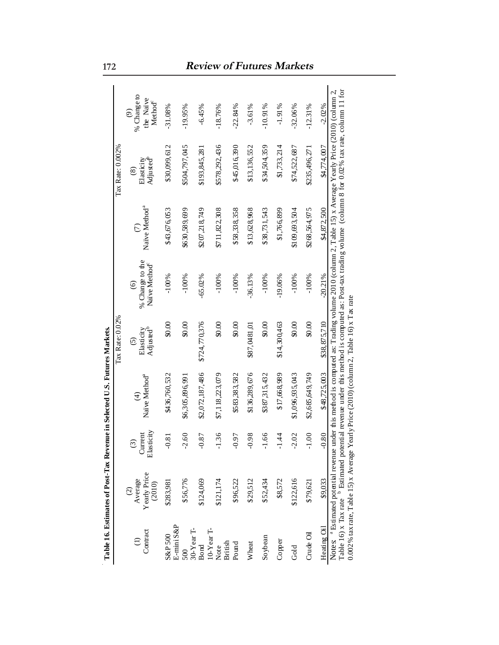|                           |                                                 |                                                   | Table 16. Estimates of Post-Tax Revenue in Selected U.S. Futures Markets.                 |                                                |                                                                   |                           |                                                                                                                                                                                                                                                                                            |                                                     |
|---------------------------|-------------------------------------------------|---------------------------------------------------|-------------------------------------------------------------------------------------------|------------------------------------------------|-------------------------------------------------------------------|---------------------------|--------------------------------------------------------------------------------------------------------------------------------------------------------------------------------------------------------------------------------------------------------------------------------------------|-----------------------------------------------------|
|                           |                                                 |                                                   |                                                                                           | Tax Rate: 0.02%                                |                                                                   |                           | Tax Rate: 0.002%                                                                                                                                                                                                                                                                           |                                                     |
| Contract                  | Yearly Price<br>Average<br>(2010)<br>$\odot$    | Elasticity<br>Current<br>$\widehat{\mathfrak{D}}$ | Naïve Method <sup>a</sup><br>$\widehat{d}$                                                | Adjusted <sup>b</sup><br>Elasticity<br>$\odot$ | % Change to the<br>Naïve Method <sup>c</sup><br>$\widehat{\circ}$ | Naïve Method <sup>a</sup> | Adjusted <sup>b</sup><br>Elasticity<br>$\circledS$                                                                                                                                                                                                                                         | % Change to<br>the Naive<br>Method<br>$\widehat{e}$ |
| E-mini S&P<br>S&P 500     | \$283,981                                       | $-0.81$                                           | \$436,760,532                                                                             | 00.08                                          | $-100%$                                                           | \$43,676,053              | \$30,099,612                                                                                                                                                                                                                                                                               | $-31.08%$                                           |
| 30-Year T-<br>500         | \$56,776                                        | $-2.60$                                           | \$6,305,896,991                                                                           | 0.00                                           | $-100%$                                                           | \$630,589,699             | \$504,797,045                                                                                                                                                                                                                                                                              | $-19.95%$                                           |
| 10-Year T-<br><b>Bond</b> | \$124,069                                       | $-0.87$                                           | \$2,072,187,486                                                                           | \$724,770,376                                  | $-65.02%$                                                         | \$207,218,749             | \$193,845,281                                                                                                                                                                                                                                                                              | $-6.45%$                                            |
| British<br>Note           | \$121,174                                       | $-1.36$                                           | \$7,118,223,079                                                                           | 0.08                                           | $-100%$                                                           | \$711,822,308             | \$578,292,436                                                                                                                                                                                                                                                                              | $-18.76%$                                           |
| Pound                     | \$96,522                                        | $16.0 -$                                          | \$583,383,582                                                                             | 0.08                                           | $-100%$                                                           | \$58,338,358              | \$45,016,390                                                                                                                                                                                                                                                                               | $-22.84%$                                           |
| Wheat                     | \$29,512                                        | $86.0 -$                                          | \$136,289,676                                                                             | \$87,0481,01                                   | $-36.13%$                                                         | \$13,628,968              | \$13,136,552                                                                                                                                                                                                                                                                               | $-3.61%$                                            |
| Soybean                   | \$52,434                                        | $-1.66$                                           | \$387,315,432                                                                             | \$0.00                                         | $-100%$                                                           | \$38,731,543              | \$34,504,359                                                                                                                                                                                                                                                                               | $-10.91%$                                           |
| Copper                    | \$8,572                                         | $-1.44$                                           | \$17,668,989                                                                              | \$14,300,463                                   | $-19.06%$                                                         | \$1,766,899               | \$1,733,214                                                                                                                                                                                                                                                                                | $-1.91%$                                            |
| Gold                      | \$122,616                                       | $-2.02$                                           | \$1,096,935,043                                                                           | 0.08                                           | $-100%$                                                           | \$109,693,504             | \$74,522,687                                                                                                                                                                                                                                                                               | $-32.06%$                                           |
| Crude Oil                 | \$79,621                                        | $-1.00$                                           | \$2,685,649,749                                                                           | 0.00                                           | $-100%$                                                           | \$268,564,975             | \$235,496,271                                                                                                                                                                                                                                                                              | $-12.31%$                                           |
| Heating Oil               | \$9,033                                         | $-0.80$                                           | \$48,725,003                                                                              | \$38,875,710                                   | $-20.21%$                                                         | \$4,872,500               | \$4.774.007                                                                                                                                                                                                                                                                                | $-2.02%$                                            |
|                           | Notes: <sup>a</sup> Estimated potential revenue |                                                   | 0.002% tax rate, Table 15) x Average Yearly Price (2010) (column 2, Table 16) x T ax rate |                                                |                                                                   |                           | Table 16) x Tax rate <sup>b</sup> Estimated potential revenue under this method is computed as: Post-tax trading volume (column 8 for 0.02% tax rate, column 11 for<br>under this method is computed as: Trading volume 2010 (column 2, Table 15) x Average Yearly Price (2010) (column 2, |                                                     |

# **172 Review of Futures Markets**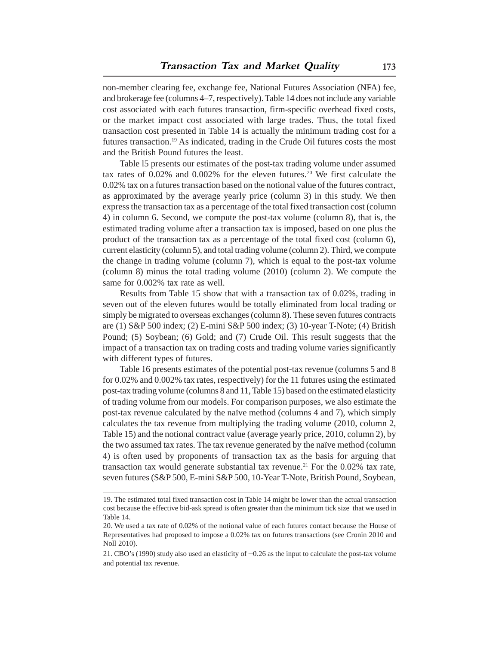non-member clearing fee, exchange fee, National Futures Association (NFA) fee, and brokerage fee (columns 4–7, respectively). Table 14 does not include any variable cost associated with each futures transaction, firm-specific overhead fixed costs, or the market impact cost associated with large trades. Thus, the total fixed transaction cost presented in Table 14 is actually the minimum trading cost for a futures transaction.19 As indicated, trading in the Crude Oil futures costs the most and the British Pound futures the least.

Table l5 presents our estimates of the post-tax trading volume under assumed tax rates of 0.02% and 0.002% for the eleven futures.<sup>20</sup> We first calculate the 0.02% tax on a futures transaction based on the notional value of the futures contract, as approximated by the average yearly price (column 3) in this study. We then express the transaction tax as a percentage of the total fixed transaction cost (column 4) in column 6. Second, we compute the post-tax volume (column 8), that is, the estimated trading volume after a transaction tax is imposed, based on one plus the product of the transaction tax as a percentage of the total fixed cost (column 6), current elasticity (column 5), and total trading volume (column 2). Third, we compute the change in trading volume (column 7), which is equal to the post-tax volume (column 8) minus the total trading volume (2010) (column 2). We compute the same for 0.002% tax rate as well.

Results from Table 15 show that with a transaction tax of 0.02%, trading in seven out of the eleven futures would be totally eliminated from local trading or simply be migrated to overseas exchanges (column 8). These seven futures contracts are (1) S&P 500 index; (2) E-mini S&P 500 index; (3) 10-year T-Note; (4) British Pound; (5) Soybean; (6) Gold; and (7) Crude Oil. This result suggests that the impact of a transaction tax on trading costs and trading volume varies significantly with different types of futures.

Table 16 presents estimates of the potential post-tax revenue (columns 5 and 8 for 0.02% and 0.002% tax rates, respectively) for the 11 futures using the estimated post-tax trading volume (columns 8 and 11, Table 15) based on the estimated elasticity of trading volume from our models. For comparison purposes, we also estimate the post-tax revenue calculated by the naïve method (columns 4 and 7), which simply calculates the tax revenue from multiplying the trading volume (2010, column 2, Table 15) and the notional contract value (average yearly price, 2010, column 2), by the two assumed tax rates. The tax revenue generated by the naïve method (column 4) is often used by proponents of transaction tax as the basis for arguing that transaction tax would generate substantial tax revenue.<sup>21</sup> For the  $0.02\%$  tax rate, seven futures (S&P 500, E-mini S&P 500, 10-Year T-Note, British Pound, Soybean,

<sup>19.</sup> The estimated total fixed transaction cost in Table 14 might be lower than the actual transaction cost because the effective bid-ask spread is often greater than the minimum tick size that we used in Table 14.

<sup>20.</sup> We used a tax rate of 0.02% of the notional value of each futures contact because the House of Representatives had proposed to impose a 0.02% tax on futures transactions (see Cronin 2010 and Noll 2010).

<sup>21.</sup> CBO's (1990) study also used an elasticity of –0.26 as the input to calculate the post-tax volume and potential tax revenue.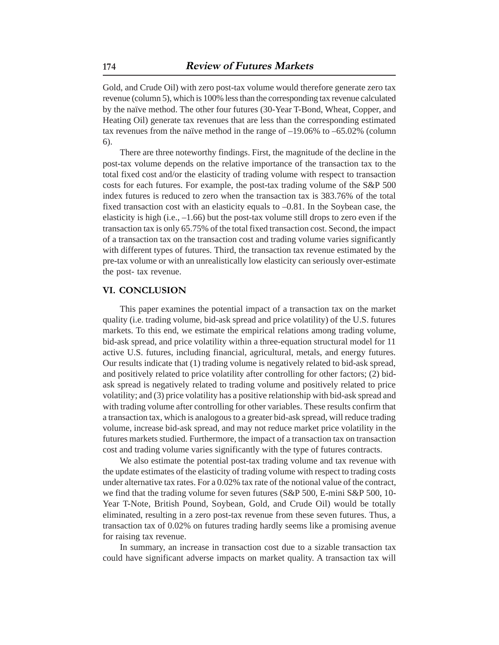Gold, and Crude Oil) with zero post-tax volume would therefore generate zero tax revenue (column 5), which is 100% less than the corresponding tax revenue calculated by the naïve method. The other four futures (30-Year T-Bond, Wheat, Copper, and Heating Oil) generate tax revenues that are less than the corresponding estimated tax revenues from the naïve method in the range of –19.06% to –65.02% (column 6).

There are three noteworthy findings. First, the magnitude of the decline in the post-tax volume depends on the relative importance of the transaction tax to the total fixed cost and/or the elasticity of trading volume with respect to transaction costs for each futures. For example, the post-tax trading volume of the S&P 500 index futures is reduced to zero when the transaction tax is 383.76% of the total fixed transaction cost with an elasticity equals to –0.81. In the Soybean case, the elasticity is high (i.e.,  $-1.66$ ) but the post-tax volume still drops to zero even if the transaction tax is only 65.75% of the total fixed transaction cost. Second, the impact of a transaction tax on the transaction cost and trading volume varies significantly with different types of futures. Third, the transaction tax revenue estimated by the pre-tax volume or with an unrealistically low elasticity can seriously over-estimate the post- tax revenue.

# **VI. CONCLUSION**

This paper examines the potential impact of a transaction tax on the market quality (i.e. trading volume, bid-ask spread and price volatility) of the U.S. futures markets. To this end, we estimate the empirical relations among trading volume, bid-ask spread, and price volatility within a three-equation structural model for 11 active U.S. futures, including financial, agricultural, metals, and energy futures. Our results indicate that (1) trading volume is negatively related to bid-ask spread, and positively related to price volatility after controlling for other factors; (2) bidask spread is negatively related to trading volume and positively related to price volatility; and (3) price volatility has a positive relationship with bid-ask spread and with trading volume after controlling for other variables. These results confirm that a transaction tax, which is analogous to a greater bid-ask spread, will reduce trading volume, increase bid-ask spread, and may not reduce market price volatility in the futures markets studied. Furthermore, the impact of a transaction tax on transaction cost and trading volume varies significantly with the type of futures contracts.

We also estimate the potential post-tax trading volume and tax revenue with the update estimates of the elasticity of trading volume with respect to trading costs under alternative tax rates. For a 0.02% tax rate of the notional value of the contract, we find that the trading volume for seven futures (S&P 500, E-mini S&P 500, 10- Year T-Note, British Pound, Soybean, Gold, and Crude Oil) would be totally eliminated, resulting in a zero post-tax revenue from these seven futures. Thus, a transaction tax of 0.02% on futures trading hardly seems like a promising avenue for raising tax revenue.

In summary, an increase in transaction cost due to a sizable transaction tax could have significant adverse impacts on market quality. A transaction tax will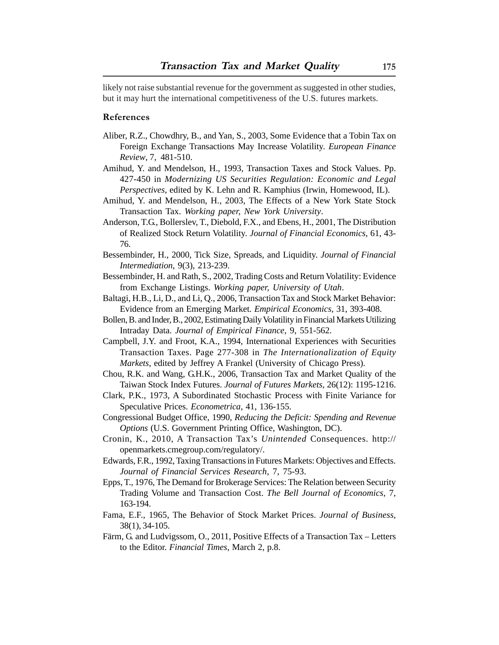likely not raise substantial revenue for the government as suggested in other studies, but it may hurt the international competitiveness of the U.S. futures markets.

#### **References**

- Aliber, R.Z., Chowdhry, B., and Yan, S., 2003, Some Evidence that a Tobin Tax on Foreign Exchange Transactions May Increase Volatility. *European Finance Review*, 7, 481-510.
- Amihud, Y. and Mendelson, H., 1993, Transaction Taxes and Stock Values. Pp. 427-450 in *Modernizing US Securities Regulation: Economic and Legal Perspectives*, edited by K. Lehn and R. Kamphius (Irwin, Homewood, IL).
- Amihud, Y. and Mendelson, H., 2003, The Effects of a New York State Stock Transaction Tax. *Working paper, New York University*.
- Anderson, T.G., Bollerslev, T., Diebold, F.X., and Ebens, H., 2001, The Distribution of Realized Stock Return Volatility. *Journal of Financial Economics*, 61, 43- 76.
- Bessembinder, H., 2000, Tick Size, Spreads, and Liquidity. *Journal of Financial Intermediation*, 9(3), 213-239.
- Bessembinder, H. and Rath, S., 2002, Trading Costs and Return Volatility: Evidence from Exchange Listings. *Working paper, University of Utah*.
- Baltagi, H.B., Li, D., and Li, Q., 2006, Transaction Tax and Stock Market Behavior: Evidence from an Emerging Market. *Empirical Economics*, 31, 393-408.
- Bollen, B. and Inder, B., 2002, Estimating Daily Volatility in Financial Markets Utilizing Intraday Data. *Journal of Empirical Finance*, 9, 551-562.
- Campbell, J.Y. and Froot, K.A., 1994, International Experiences with Securities Transaction Taxes. Page 277-308 in *The Internationalization of Equity Markets*, edited by Jeffrey A Frankel (University of Chicago Press).
- Chou, R.K. and Wang, G.H.K., 2006, Transaction Tax and Market Quality of the Taiwan Stock Index Futures. *Journal of Futures Markets*, 26(12): 1195-1216.
- Clark, P.K., 1973, A Subordinated Stochastic Process with Finite Variance for Speculative Prices. *Econometrica*, 41, 136-155.
- Congressional Budget Office, 1990, *Reducing the Deficit: Spending and Revenue Options* (U.S. Government Printing Office, Washington, DC).
- Cronin, K., 2010, A Transaction Tax's *Unintended* Consequences. http:// openmarkets.cmegroup.com/regulatory/.
- Edwards, F.R., 1992, Taxing Transactions in Futures Markets: Objectives and Effects. *Journal of Financial Services Research*, 7, 75-93.
- Epps, T., 1976, The Demand for Brokerage Services: The Relation between Security Trading Volume and Transaction Cost. *The Bell Journal of Economics*, 7, 163-194.
- Fama, E.F., 1965, The Behavior of Stock Market Prices. *Journal of Business*, 38(1), 34-105.
- Färm, G. and Ludvigssom, O., 2011, Positive Effects of a Transaction Tax Letters to the Editor. *Financial Times*, March 2, p.8.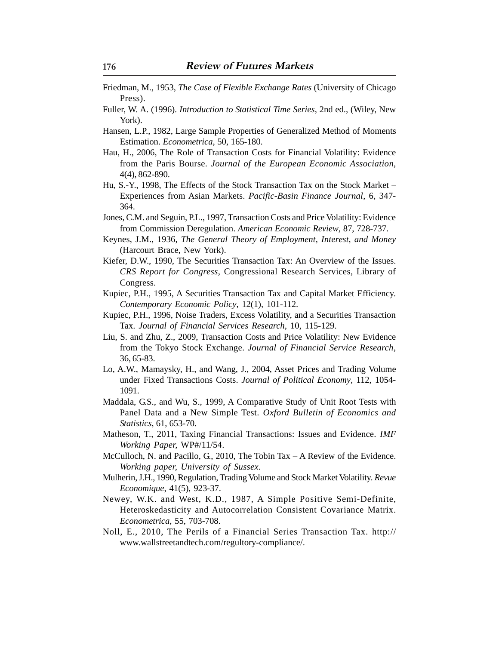- Friedman, M., 1953, *The Case of Flexible Exchange Rates* (University of Chicago Press).
- Fuller, W. A. (1996). *Introduction to Statistical Time Series*, 2nd ed., (Wiley, New York).
- Hansen, L.P., 1982, Large Sample Properties of Generalized Method of Moments Estimation. *Econometrica*, 50, 165-180.
- Hau, H., 2006, The Role of Transaction Costs for Financial Volatility: Evidence from the Paris Bourse. *Journal of the European Economic Association*, 4(4), 862-890.
- Hu, S.-Y., 1998, The Effects of the Stock Transaction Tax on the Stock Market Experiences from Asian Markets. *Pacific-Basin Finance Journal*, 6, 347- 364.
- Jones, C.M. and Seguin, P.L., 1997, Transaction Costs and Price Volatility: Evidence from Commission Deregulation. *American Economic Review*, 87, 728-737.
- Keynes, J.M., 1936, *The General Theory of Employment, Interest, and Money* (Harcourt Brace, New York).
- Kiefer, D.W., 1990, The Securities Transaction Tax: An Overview of the Issues. *CRS Report for Congress*, Congressional Research Services, Library of Congress.
- Kupiec, P.H., 1995, A Securities Transaction Tax and Capital Market Efficiency. *Contemporary Economic Policy*, 12(1), 101-112.
- Kupiec, P.H., 1996, Noise Traders, Excess Volatility, and a Securities Transaction Tax. *Journal of Financial Services Research*, 10, 115-129.
- Liu, S. and Zhu, Z., 2009, Transaction Costs and Price Volatility: New Evidence from the Tokyo Stock Exchange. *Journal of Financial Service Research*, 36, 65-83.
- Lo, A.W., Mamaysky, H., and Wang, J., 2004, Asset Prices and Trading Volume under Fixed Transactions Costs. *Journal of Political Economy*, 112, 1054- 1091.
- Maddala, G.S., and Wu, S., 1999, A Comparative Study of Unit Root Tests with Panel Data and a New Simple Test. *Oxford Bulletin of Economics and Statistics*, 61, 653-70.
- Matheson, T., 2011, Taxing Financial Transactions: Issues and Evidence. *IMF Working Paper,* WP#/11/54.
- McCulloch, N. and Pacillo, G., 2010, The Tobin Tax A Review of the Evidence. *Working paper, University of Sussex.*
- Mulherin, J.H., 1990, Regulation, Trading Volume and Stock Market Volatility. *Revue Economique*, 41(5), 923-37.
- Newey, W.K. and West, K.D., 1987, A Simple Positive Semi-Definite, Heteroskedasticity and Autocorrelation Consistent Covariance Matrix. *Econometrica*, 55, 703-708.
- Noll, E., 2010, The Perils of a Financial Series Transaction Tax. http:// www.wallstreetandtech.com/regultory-compliance/.